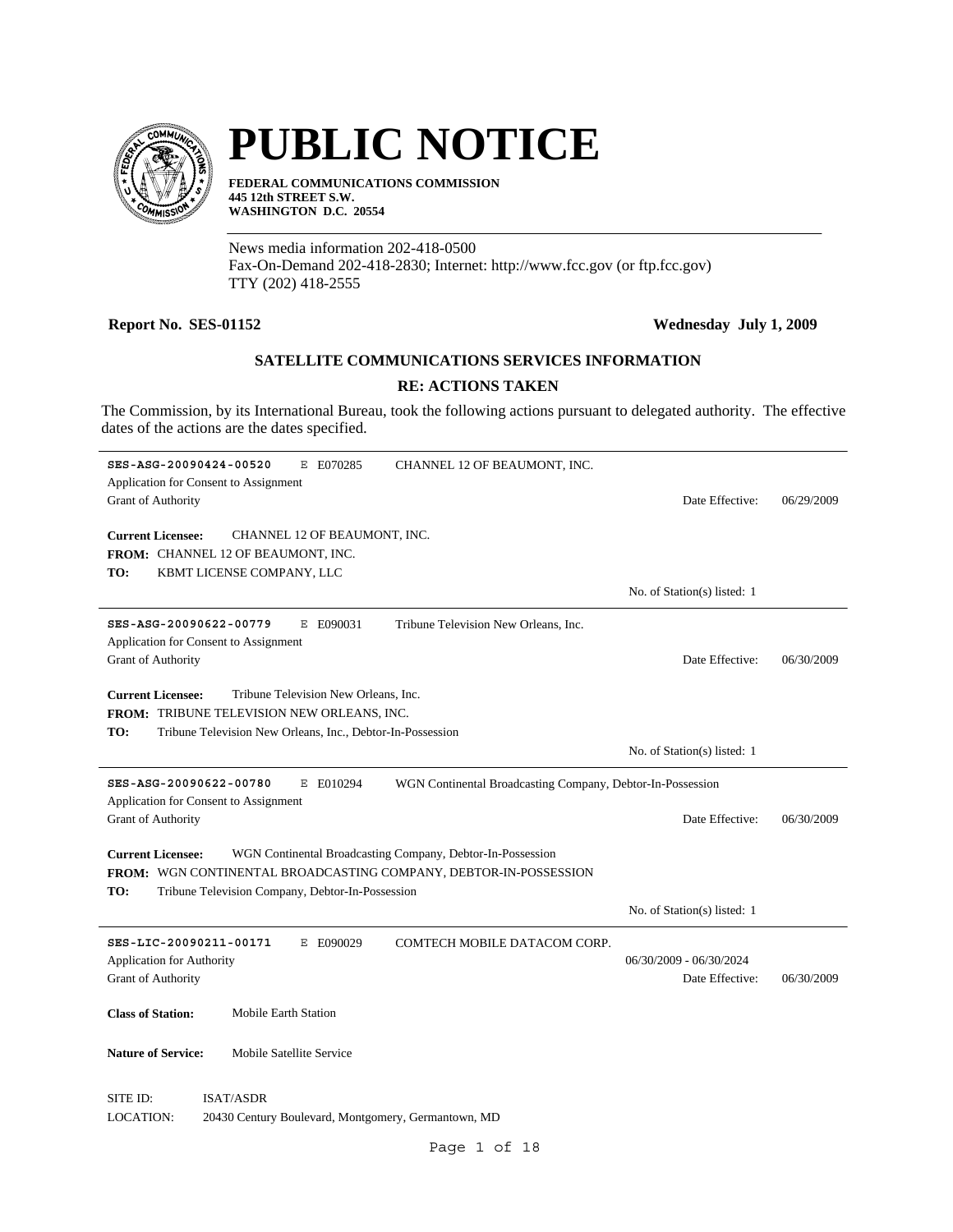

# **PUBLIC NOTICE**

**FEDERAL COMMUNICATIONS COMMISSION 445 12th STREET S.W. WASHINGTON D.C. 20554**

News media information 202-418-0500 Fax-On-Demand 202-418-2830; Internet: http://www.fcc.gov (or ftp.fcc.gov) TTY (202) 418-2555

## **Report No. SES-01152 Wednesday July 1, 2009**

# **SATELLITE COMMUNICATIONS SERVICES INFORMATION**

# **RE: ACTIONS TAKEN**

The Commission, by its International Bureau, took the following actions pursuant to delegated authority. The effective dates of the actions are the dates specified.

| SES-ASG-20090424-00520<br>E070285<br>CHANNEL 12 OF BEAUMONT, INC.<br>Ε                            |                             |            |
|---------------------------------------------------------------------------------------------------|-----------------------------|------------|
| Application for Consent to Assignment                                                             |                             |            |
| Grant of Authority                                                                                | Date Effective:             | 06/29/2009 |
|                                                                                                   |                             |            |
| <b>Current Licensee:</b><br>CHANNEL 12 OF BEAUMONT, INC.                                          |                             |            |
| FROM: CHANNEL 12 OF BEAUMONT, INC.                                                                |                             |            |
| KBMT LICENSE COMPANY, LLC<br>TO:                                                                  |                             |            |
|                                                                                                   | No. of Station(s) listed: 1 |            |
| SES-ASG-20090622-00779<br>E E090031<br>Tribune Television New Orleans, Inc.                       |                             |            |
| Application for Consent to Assignment                                                             |                             |            |
| <b>Grant of Authority</b>                                                                         | Date Effective:             | 06/30/2009 |
|                                                                                                   |                             |            |
| Tribune Television New Orleans, Inc.<br><b>Current Licensee:</b>                                  |                             |            |
| <b>FROM: TRIBUNE TELEVISION NEW ORLEANS, INC.</b>                                                 |                             |            |
| Tribune Television New Orleans, Inc., Debtor-In-Possession<br>TO:                                 |                             |            |
|                                                                                                   |                             |            |
|                                                                                                   | No. of Station(s) listed: 1 |            |
| SES-ASG-20090622-00780<br>WGN Continental Broadcasting Company, Debtor-In-Possession<br>E E010294 |                             |            |
| Application for Consent to Assignment                                                             |                             |            |
| Grant of Authority                                                                                | Date Effective:             | 06/30/2009 |
|                                                                                                   |                             |            |
| <b>Current Licensee:</b><br>WGN Continental Broadcasting Company, Debtor-In-Possession            |                             |            |
| FROM: WGN CONTINENTAL BROADCASTING COMPANY, DEBTOR-IN-POSSESSION                                  |                             |            |
| TO:<br>Tribune Television Company, Debtor-In-Possession                                           |                             |            |
|                                                                                                   | No. of Station(s) listed: 1 |            |
|                                                                                                   |                             |            |
| SES-LIC-20090211-00171<br>E E090029<br>COMTECH MOBILE DATACOM CORP.                               |                             |            |
| <b>Application for Authority</b>                                                                  | 06/30/2009 - 06/30/2024     |            |
| Grant of Authority                                                                                | Date Effective:             | 06/30/2009 |
|                                                                                                   |                             |            |
| <b>Class of Station:</b><br><b>Mobile Earth Station</b>                                           |                             |            |
|                                                                                                   |                             |            |
| Mobile Satellite Service<br><b>Nature of Service:</b>                                             |                             |            |
|                                                                                                   |                             |            |
| SITE ID:<br><b>ISAT/ASDR</b>                                                                      |                             |            |
|                                                                                                   |                             |            |
| <b>LOCATION:</b><br>20430 Century Boulevard, Montgomery, Germantown, MD                           |                             |            |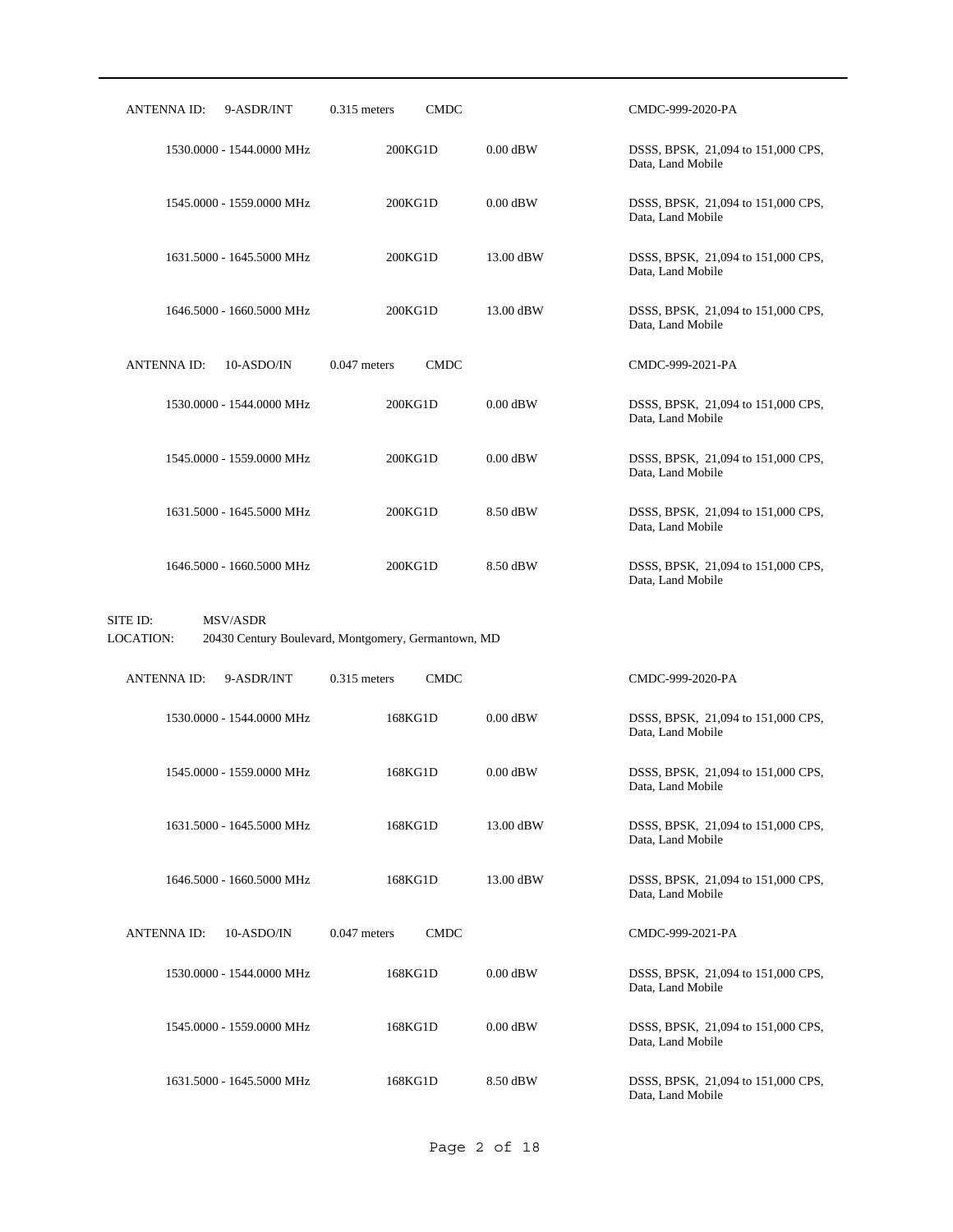| ANTENNA ID:<br>9-ASDR/INT         | <b>CMDC</b><br>$0.315$ meters                       |            | CMDC-999-2020-PA                                        |
|-----------------------------------|-----------------------------------------------------|------------|---------------------------------------------------------|
| 1530.0000 - 1544.0000 MHz         | 200KG1D                                             | $0.00$ dBW | DSSS, BPSK, 21,094 to 151,000 CPS,<br>Data, Land Mobile |
| 1545,0000 - 1559,0000 MHz         | 200KG1D                                             | $0.00$ dBW | DSSS, BPSK, 21,094 to 151,000 CPS,<br>Data, Land Mobile |
| 1631.5000 - 1645.5000 MHz         | 200KG1D                                             | 13.00 dBW  | DSSS, BPSK, 21,094 to 151,000 CPS,<br>Data, Land Mobile |
| 1646.5000 - 1660.5000 MHz         | 200KG1D                                             | 13.00 dBW  | DSSS, BPSK, 21,094 to 151,000 CPS,<br>Data, Land Mobile |
| ANTENNA ID:<br>10-ASDO/IN         | <b>CMDC</b><br>$0.047$ meters                       |            | CMDC-999-2021-PA                                        |
| 1530.0000 - 1544.0000 MHz         | 200KG1D                                             | $0.00$ dBW | DSSS, BPSK, 21,094 to 151,000 CPS,<br>Data, Land Mobile |
| 1545.0000 - 1559.0000 MHz         | 200KG1D                                             | $0.00$ dBW | DSSS, BPSK, 21,094 to 151,000 CPS,<br>Data, Land Mobile |
| 1631.5000 - 1645.5000 MHz         | 200KG1D                                             | 8.50 dBW   | DSSS, BPSK, 21,094 to 151,000 CPS,<br>Data, Land Mobile |
| 1646.5000 - 1660.5000 MHz         | 200KG1D                                             | 8.50 dBW   | DSSS, BPSK, 21,094 to 151,000 CPS,<br>Data, Land Mobile |
|                                   |                                                     |            |                                                         |
| SITE ID:<br>MSV/ASDR<br>LOCATION: | 20430 Century Boulevard, Montgomery, Germantown, MD |            |                                                         |
| <b>ANTENNA ID:</b><br>9-ASDR/INT  | $0.315$ meters<br><b>CMDC</b>                       |            | CMDC-999-2020-PA                                        |
| 1530.0000 - 1544.0000 MHz         | 168KG1D                                             | $0.00$ dBW | DSSS, BPSK, 21,094 to 151,000 CPS,<br>Data, Land Mobile |
| 1545.0000 - 1559.0000 MHz         | 168KG1D                                             | $0.00$ dBW | DSSS, BPSK, 21,094 to 151,000 CPS,<br>Data, Land Mobile |
| 1631.5000 - 1645.5000 MHz         | 168KG1D                                             | 13.00 dBW  | DSSS, BPSK, 21,094 to 151,000 CPS,<br>Data, Land Mobile |
| 1646.5000 - 1660.5000 MHz         | 168KG1D                                             | 13.00 dBW  | DSSS, BPSK, 21,094 to 151,000 CPS,<br>Data, Land Mobile |
| <b>ANTENNA ID:</b><br>10-ASDO/IN  | $0.047$ meters<br><b>CMDC</b>                       |            | CMDC-999-2021-PA                                        |
| 1530.0000 - 1544.0000 MHz         | 168KG1D                                             | $0.00$ dBW | DSSS, BPSK, 21,094 to 151,000 CPS,<br>Data, Land Mobile |
| 1545.0000 - 1559.0000 MHz         | 168KG1D                                             | $0.00$ dBW | DSSS, BPSK, 21,094 to 151,000 CPS,<br>Data, Land Mobile |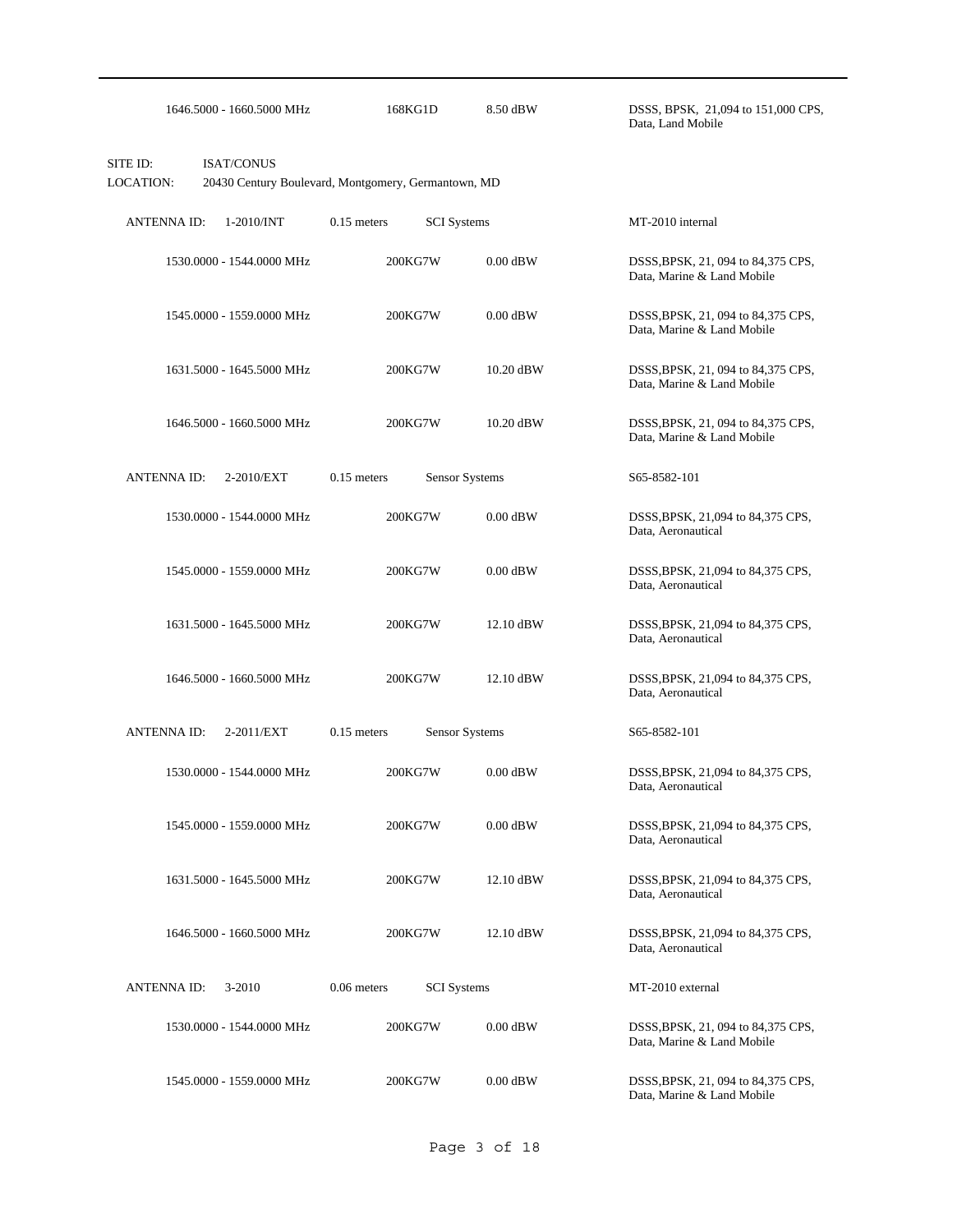|                       | 1646.5000 - 1660.5000 MHz                                                | 168KG1D       | 8.50 dBW           | DSSS, BPSK, 21,094 to 151,000 CPS,<br>Data, Land Mobile           |
|-----------------------|--------------------------------------------------------------------------|---------------|--------------------|-------------------------------------------------------------------|
| SITE ID:<br>LOCATION: | <b>ISAT/CONUS</b><br>20430 Century Boulevard, Montgomery, Germantown, MD |               |                    |                                                                   |
| <b>ANTENNA ID:</b>    | 1-2010/INT                                                               | $0.15$ meters | <b>SCI</b> Systems | MT-2010 internal                                                  |
|                       | 1530.0000 - 1544.0000 MHz                                                | 200KG7W       | $0.00$ dBW         | DSSS, BPSK, 21, 094 to 84, 375 CPS,<br>Data, Marine & Land Mobile |
|                       | 1545.0000 - 1559.0000 MHz                                                | 200KG7W       | $0.00$ dBW         | DSSS, BPSK, 21, 094 to 84, 375 CPS,<br>Data, Marine & Land Mobile |
|                       | 1631.5000 - 1645.5000 MHz                                                | 200KG7W       | 10.20 dBW          | DSSS, BPSK, 21, 094 to 84, 375 CPS,<br>Data, Marine & Land Mobile |
|                       | 1646.5000 - 1660.5000 MHz                                                | 200KG7W       | 10.20 dBW          | DSSS, BPSK, 21, 094 to 84, 375 CPS,<br>Data, Marine & Land Mobile |
| <b>ANTENNA ID:</b>    | 2-2010/EXT                                                               | $0.15$ meters | Sensor Systems     | S65-8582-101                                                      |
|                       | 1530.0000 - 1544.0000 MHz                                                | 200KG7W       | $0.00$ dBW         | DSSS, BPSK, 21,094 to 84,375 CPS,<br>Data, Aeronautical           |
|                       | 1545.0000 - 1559.0000 MHz                                                | 200KG7W       | $0.00$ dBW         | DSSS, BPSK, 21,094 to 84,375 CPS,<br>Data, Aeronautical           |
|                       | 1631.5000 - 1645.5000 MHz                                                | 200KG7W       | 12.10 dBW          | DSSS, BPSK, 21,094 to 84,375 CPS,<br>Data, Aeronautical           |
|                       | 1646.5000 - 1660.5000 MHz                                                | 200KG7W       | 12.10 dBW          | DSSS, BPSK, 21,094 to 84,375 CPS,<br>Data, Aeronautical           |
| <b>ANTENNA ID:</b>    | 2-2011/EXT                                                               | $0.15$ meters | Sensor Systems     | S65-8582-101                                                      |
|                       | 1530.0000 - 1544.0000 MHz                                                | 200KG7W       | $0.00$ dBW         | DSSS, BPSK, 21,094 to 84,375 CPS,<br>Data, Aeronautical           |
|                       | 1545.0000 - 1559.0000 MHz                                                | 200KG7W       | $0.00$ dBW         | DSSS, BPSK, 21,094 to 84,375 CPS,<br>Data, Aeronautical           |
|                       | 1631.5000 - 1645.5000 MHz                                                | 200KG7W       | 12.10 dBW          | DSSS, BPSK, 21,094 to 84,375 CPS,<br>Data, Aeronautical           |
|                       | 1646.5000 - 1660.5000 MHz                                                | 200KG7W       | 12.10 dBW          | DSSS, BPSK, 21,094 to 84,375 CPS,<br>Data, Aeronautical           |
| <b>ANTENNA ID:</b>    | 3-2010                                                                   | $0.06$ meters | <b>SCI</b> Systems | MT-2010 external                                                  |
|                       | 1530.0000 - 1544.0000 MHz                                                | 200KG7W       | $0.00$ dBW         | DSSS, BPSK, 21, 094 to 84, 375 CPS,<br>Data, Marine & Land Mobile |
|                       | 1545.0000 - 1559.0000 MHz                                                | 200KG7W       | $0.00$ dBW         | DSSS, BPSK, 21, 094 to 84, 375 CPS,<br>Data, Marine & Land Mobile |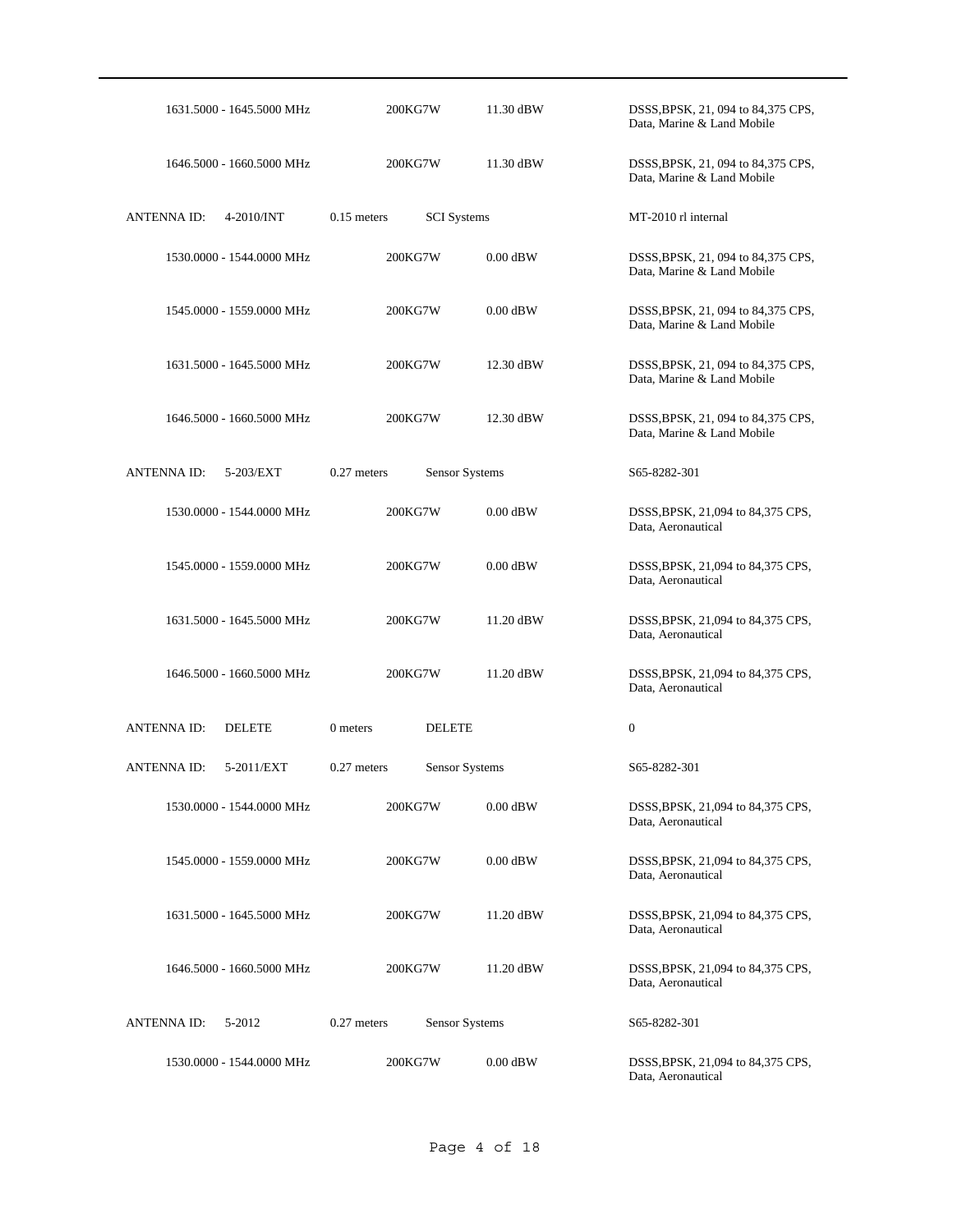| 1631.5000 - 1645.5000 MHz          |                           | 200KG7W               | 11.30 dBW  | DSSS, BPSK, 21, 094 to 84, 375 CPS,<br>Data, Marine & Land Mobile |
|------------------------------------|---------------------------|-----------------------|------------|-------------------------------------------------------------------|
| 1646.5000 - 1660.5000 MHz          |                           | 200KG7W               | 11.30 dBW  | DSSS, BPSK, 21, 094 to 84, 375 CPS,<br>Data, Marine & Land Mobile |
| <b>ANTENNA ID:</b><br>4-2010/INT   | $0.15$ meters             | <b>SCI</b> Systems    |            | MT-2010 rl internal                                               |
| 1530.0000 - 1544.0000 MHz          |                           | 200KG7W               | $0.00$ dBW | DSSS, BPSK, 21, 094 to 84, 375 CPS,<br>Data, Marine & Land Mobile |
| 1545.0000 - 1559.0000 MHz          |                           | 200KG7W               | $0.00$ dBW | DSSS, BPSK, 21, 094 to 84, 375 CPS,<br>Data, Marine & Land Mobile |
| 1631.5000 - 1645.5000 MHz          |                           | 200KG7W               | 12.30 dBW  | DSSS, BPSK, 21, 094 to 84, 375 CPS,<br>Data, Marine & Land Mobile |
| 1646.5000 - 1660.5000 MHz          |                           | 200KG7W               | 12.30 dBW  | DSSS, BPSK, 21, 094 to 84, 375 CPS,<br>Data, Marine & Land Mobile |
| <b>ANTENNAID:</b><br>5-203/EXT     | $0.27$ meters             | Sensor Systems        |            | S65-8282-301                                                      |
| 1530.0000 - 1544.0000 MHz          |                           | 200KG7W               | $0.00$ dBW | DSSS, BPSK, 21,094 to 84,375 CPS,<br>Data, Aeronautical           |
| 1545.0000 - 1559.0000 MHz          |                           | 200KG7W               | $0.00$ dBW | DSSS, BPSK, 21,094 to 84,375 CPS,<br>Data, Aeronautical           |
| 1631.5000 - 1645.5000 MHz          |                           | 200KG7W               | 11.20 dBW  | DSSS, BPSK, 21,094 to 84,375 CPS,<br>Data, Aeronautical           |
| 1646.5000 - 1660.5000 MHz          |                           | 200KG7W               | 11.20 dBW  | DSSS, BPSK, 21,094 to 84,375 CPS,<br>Data, Aeronautical           |
| <b>ANTENNAID:</b><br><b>DELETE</b> | 0 meters                  | <b>DELETE</b>         |            | $\mathbf{0}$                                                      |
| <b>ANTENNA ID:</b>                 | 0.27 meters<br>5-2011/EXT | <b>Sensor Systems</b> |            | S65-8282-301                                                      |
| 1530.0000 - 1544.0000 MHz          |                           | 200KG7W               | $0.00$ dBW | DSSS, BPSK, 21,094 to 84,375 CPS,<br>Data, Aeronautical           |
| 1545.0000 - 1559.0000 MHz          |                           | 200KG7W               | $0.00$ dBW | DSSS, BPSK, 21,094 to 84,375 CPS,<br>Data, Aeronautical           |
| 1631.5000 - 1645.5000 MHz          |                           | 200KG7W               | 11.20 dBW  | DSSS, BPSK, 21,094 to 84,375 CPS,<br>Data, Aeronautical           |
| 1646.5000 - 1660.5000 MHz          |                           | 200KG7W               | 11.20 dBW  | DSSS, BPSK, 21,094 to 84,375 CPS,<br>Data, Aeronautical           |
| <b>ANTENNA ID:</b><br>5-2012       | $0.27$ meters             | Sensor Systems        |            | S65-8282-301                                                      |
| 1530.0000 - 1544.0000 MHz          |                           | 200KG7W               | $0.00$ dBW | DSSS, BPSK, 21,094 to 84,375 CPS,<br>Data, Aeronautical           |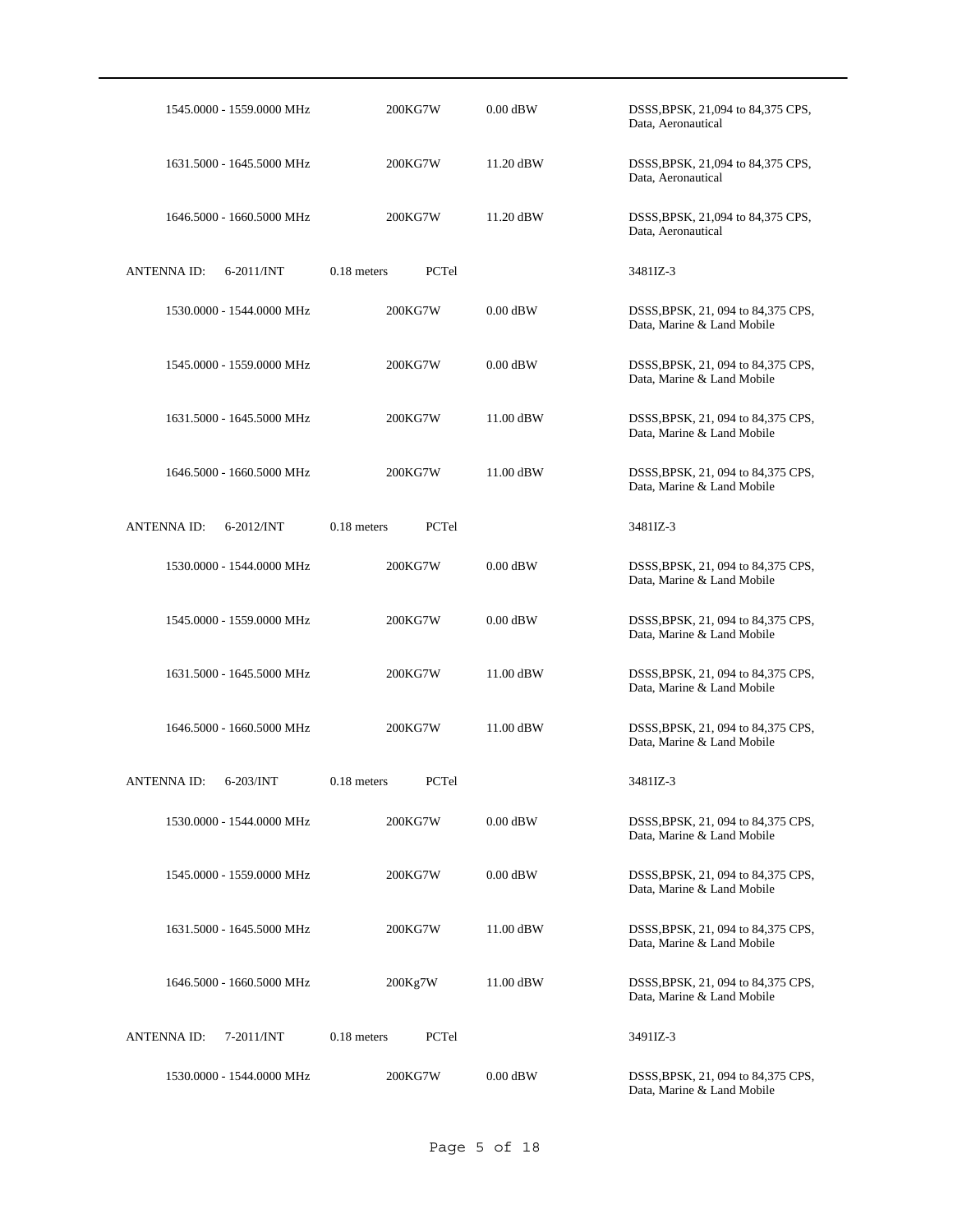| 1545.0000 - 1559.0000 MHz             | 200KG7W                | $0.00$ dBW | DSSS, BPSK, 21,094 to 84,375 CPS,<br>Data, Aeronautical           |
|---------------------------------------|------------------------|------------|-------------------------------------------------------------------|
| 1631.5000 - 1645.5000 MHz             | 200KG7W                | 11.20 dBW  | DSSS, BPSK, 21,094 to 84,375 CPS,<br>Data, Aeronautical           |
| 1646.5000 - 1660.5000 MHz             | 200KG7W                | 11.20 dBW  | DSSS, BPSK, 21,094 to 84,375 CPS,<br>Data, Aeronautical           |
| <b>ANTENNA ID:</b><br>$6 - 2011$ /INT | $0.18$ meters<br>PCTel |            | 3481IZ-3                                                          |
| 1530.0000 - 1544.0000 MHz             | 200KG7W                | $0.00$ dBW | DSSS, BPSK, 21, 094 to 84, 375 CPS,<br>Data, Marine & Land Mobile |
| 1545.0000 - 1559.0000 MHz             | 200KG7W                | $0.00$ dBW | DSSS, BPSK, 21, 094 to 84, 375 CPS,<br>Data, Marine & Land Mobile |
| 1631.5000 - 1645.5000 MHz             | 200KG7W                | 11.00 dBW  | DSSS, BPSK, 21, 094 to 84, 375 CPS,<br>Data, Marine & Land Mobile |
| 1646.5000 - 1660.5000 MHz             | 200KG7W                | 11.00 dBW  | DSSS, BPSK, 21, 094 to 84, 375 CPS,<br>Data, Marine & Land Mobile |
| ANTENNA ID:<br>$6 - 2012$ /INT        | $0.18$ meters<br>PCTel |            | 3481IZ-3                                                          |
| 1530.0000 - 1544.0000 MHz             | 200KG7W                | $0.00$ dBW | DSSS, BPSK, 21, 094 to 84, 375 CPS,<br>Data, Marine & Land Mobile |
| 1545.0000 - 1559.0000 MHz             | 200KG7W                | $0.00$ dBW | DSSS, BPSK, 21, 094 to 84, 375 CPS,<br>Data, Marine & Land Mobile |
| 1631.5000 - 1645.5000 MHz             | 200KG7W                | 11.00 dBW  | DSSS, BPSK, 21, 094 to 84, 375 CPS,<br>Data, Marine & Land Mobile |
| 1646.5000 - 1660.5000 MHz             | 200KG7W                | 11.00 dBW  | DSSS, BPSK, 21, 094 to 84, 375 CPS,<br>Data, Marine & Land Mobile |
| <b>ANTENNAID:</b><br>$6-203/INT$      | PCTel<br>$0.18$ meters |            | 3481IZ-3                                                          |
| 1530.0000 - 1544.0000 MHz             | 200KG7W                | $0.00$ dBW | DSSS, BPSK, 21, 094 to 84, 375 CPS,<br>Data, Marine & Land Mobile |
| 1545.0000 - 1559.0000 MHz             | 200KG7W                | $0.00$ dBW | DSSS, BPSK, 21, 094 to 84, 375 CPS,<br>Data, Marine & Land Mobile |
| 1631.5000 - 1645.5000 MHz             | 200KG7W                | 11.00 dBW  | DSSS, BPSK, 21, 094 to 84, 375 CPS,<br>Data, Marine & Land Mobile |
| 1646.5000 - 1660.5000 MHz             | 200Kg7W                | 11.00 dBW  | DSSS, BPSK, 21, 094 to 84, 375 CPS,<br>Data, Marine & Land Mobile |
| <b>ANTENNA ID:</b><br>$7 - 2011/INT$  | $0.18$ meters<br>PCTel |            | 3491IZ-3                                                          |
| 1530.0000 - 1544.0000 MHz             | 200KG7W                | $0.00$ dBW | DSSS, BPSK, 21, 094 to 84, 375 CPS,<br>Data, Marine & Land Mobile |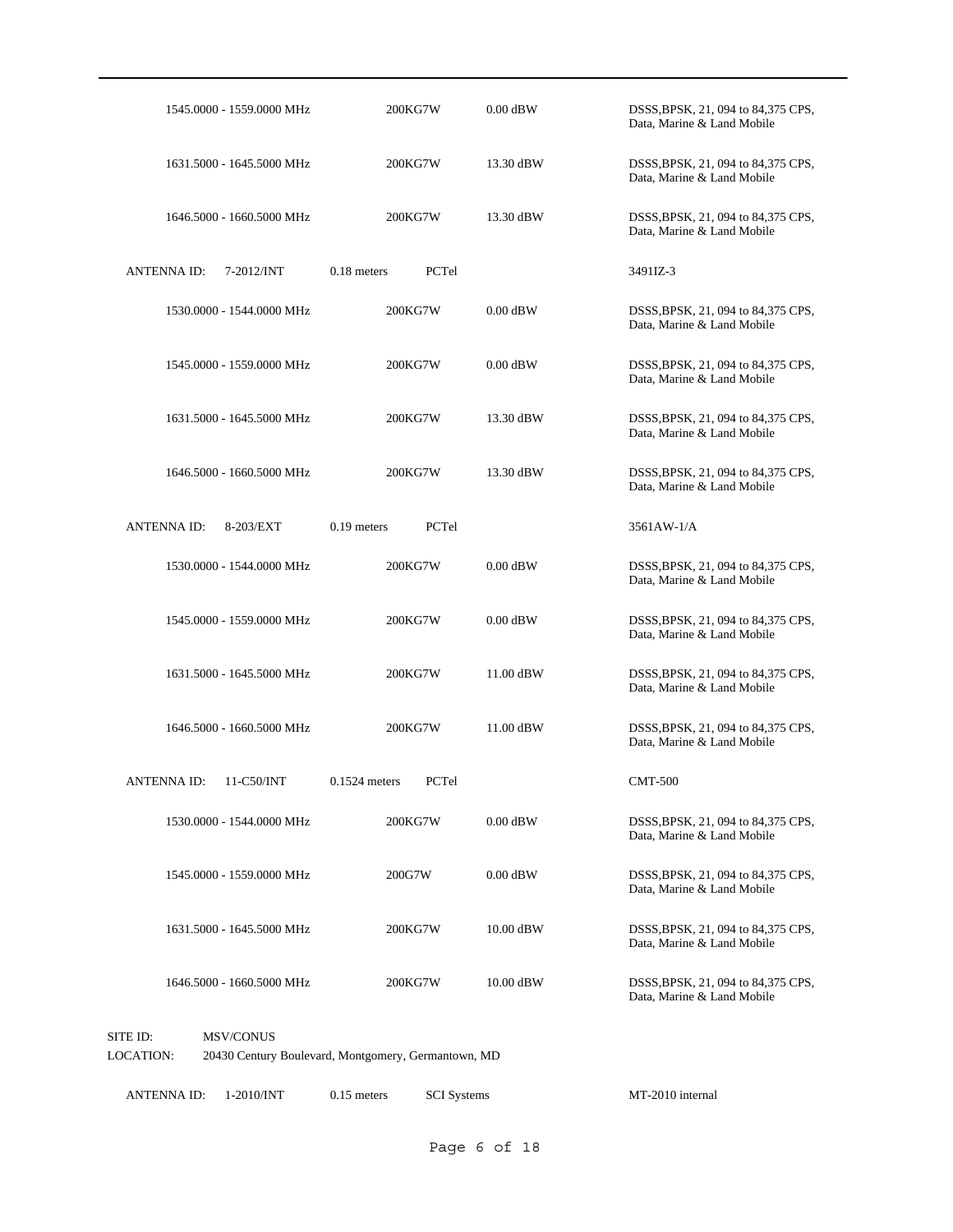|                       | 1545.0000 - 1559.0000 MHz                                               |                 | 200KG7W | $0.00$ dBW | DSSS, BPSK, 21, 094 to 84, 375 CPS,<br>Data, Marine & Land Mobile |  |
|-----------------------|-------------------------------------------------------------------------|-----------------|---------|------------|-------------------------------------------------------------------|--|
|                       | 1631.5000 - 1645.5000 MHz                                               |                 | 200KG7W | 13.30 dBW  | DSSS, BPSK, 21, 094 to 84, 375 CPS,<br>Data, Marine & Land Mobile |  |
|                       | 1646.5000 - 1660.5000 MHz                                               |                 | 200KG7W | 13.30 dBW  | DSSS, BPSK, 21, 094 to 84, 375 CPS,<br>Data, Marine & Land Mobile |  |
| <b>ANTENNA ID:</b>    | $7 - 2012$ /INT                                                         | $0.18$ meters   | PCTel   |            | 3491IZ-3                                                          |  |
|                       | 1530,0000 - 1544,0000 MHz                                               |                 | 200KG7W | $0.00$ dBW | DSSS, BPSK, 21, 094 to 84, 375 CPS,<br>Data, Marine & Land Mobile |  |
|                       | 1545.0000 - 1559.0000 MHz                                               |                 | 200KG7W | $0.00$ dBW | DSSS, BPSK, 21, 094 to 84, 375 CPS,<br>Data, Marine & Land Mobile |  |
|                       | 1631.5000 - 1645.5000 MHz                                               |                 | 200KG7W | 13.30 dBW  | DSSS, BPSK, 21, 094 to 84, 375 CPS,<br>Data, Marine & Land Mobile |  |
|                       | 1646.5000 - 1660.5000 MHz                                               |                 | 200KG7W | 13.30 dBW  | DSSS, BPSK, 21, 094 to 84, 375 CPS,<br>Data, Marine & Land Mobile |  |
| <b>ANTENNAID:</b>     | 8-203/EXT                                                               | $0.19$ meters   | PCTel   |            | 3561AW-1/A                                                        |  |
|                       | 1530.0000 - 1544.0000 MHz                                               |                 | 200KG7W | $0.00$ dBW | DSSS, BPSK, 21, 094 to 84, 375 CPS,<br>Data, Marine & Land Mobile |  |
|                       | 1545.0000 - 1559.0000 MHz                                               |                 | 200KG7W | $0.00$ dBW | DSSS, BPSK, 21, 094 to 84, 375 CPS,<br>Data, Marine & Land Mobile |  |
|                       | 1631.5000 - 1645.5000 MHz                                               |                 | 200KG7W | 11.00 dBW  | DSSS, BPSK, 21, 094 to 84, 375 CPS,<br>Data, Marine & Land Mobile |  |
|                       | 1646.5000 - 1660.5000 MHz                                               |                 | 200KG7W | 11.00 dBW  | DSSS, BPSK, 21, 094 to 84, 375 CPS,<br>Data, Marine & Land Mobile |  |
| <b>ANTENNAID:</b>     | 11-C50/INT                                                              | $0.1524$ meters | PCTel   |            | <b>CMT-500</b>                                                    |  |
|                       | 1530.0000 - 1544.0000 MHz                                               |                 | 200KG7W | $0.00$ dBW | DSSS, BPSK, 21, 094 to 84, 375 CPS,<br>Data, Marine & Land Mobile |  |
|                       | 1545.0000 - 1559.0000 MHz                                               | 200G7W          |         | $0.00$ dBW | DSSS, BPSK, 21, 094 to 84, 375 CPS,<br>Data, Marine & Land Mobile |  |
|                       | 1631.5000 - 1645.5000 MHz                                               |                 | 200KG7W | 10.00 dBW  | DSSS, BPSK, 21, 094 to 84, 375 CPS,<br>Data, Marine & Land Mobile |  |
|                       | 1646.5000 - 1660.5000 MHz                                               |                 | 200KG7W | 10.00 dBW  | DSSS, BPSK, 21, 094 to 84, 375 CPS,<br>Data, Marine & Land Mobile |  |
| SITE ID:<br>LOCATION: | <b>MSV/CONUS</b><br>20430 Century Boulevard, Montgomery, Germantown, MD |                 |         |            |                                                                   |  |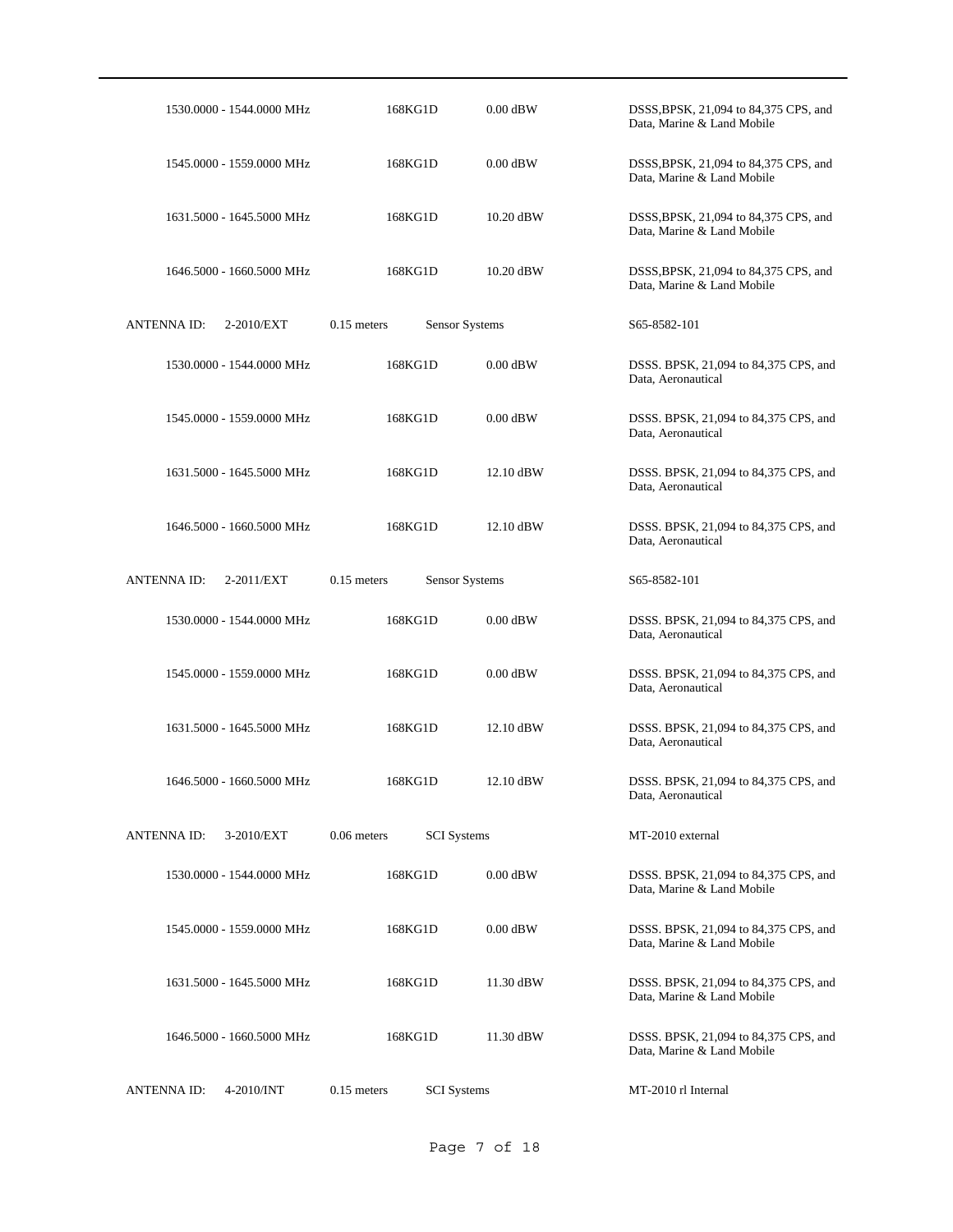| 1530.0000 - 1544.0000 MHz        | 168KG1D                             | $0.00$ dBW | DSSS, BPSK, 21,094 to 84,375 CPS, and<br>Data, Marine & Land Mobile |
|----------------------------------|-------------------------------------|------------|---------------------------------------------------------------------|
| 1545.0000 - 1559.0000 MHz        | 168KG1D                             | $0.00$ dBW | DSSS, BPSK, 21,094 to 84,375 CPS, and<br>Data, Marine & Land Mobile |
| 1631.5000 - 1645.5000 MHz        | 168KG1D                             | 10.20 dBW  | DSSS, BPSK, 21,094 to 84,375 CPS, and<br>Data, Marine & Land Mobile |
| 1646.5000 - 1660.5000 MHz        | 168KG1D                             | 10.20 dBW  | DSSS, BPSK, 21,094 to 84,375 CPS, and<br>Data, Marine & Land Mobile |
| <b>ANTENNA ID:</b><br>2-2010/EXT | $0.15$ meters<br>Sensor Systems     |            | S65-8582-101                                                        |
| 1530.0000 - 1544.0000 MHz        | 168KG1D                             | $0.00$ dBW | DSSS. BPSK, 21,094 to 84,375 CPS, and<br>Data, Aeronautical         |
| 1545.0000 - 1559.0000 MHz        | 168KG1D                             | $0.00$ dBW | DSSS. BPSK, 21,094 to 84,375 CPS, and<br>Data, Aeronautical         |
| 1631.5000 - 1645.5000 MHz        | 168KG1D                             | 12.10 dBW  | DSSS. BPSK, 21,094 to 84,375 CPS, and<br>Data, Aeronautical         |
| 1646.5000 - 1660.5000 MHz        | 168KG1D                             | 12.10 dBW  | DSSS. BPSK, 21,094 to 84,375 CPS, and<br>Data, Aeronautical         |
| <b>ANTENNA ID:</b><br>2-2011/EXT | $0.15$ meters<br>Sensor Systems     |            | S65-8582-101                                                        |
| 1530.0000 - 1544.0000 MHz        | 168KG1D                             | $0.00$ dBW | DSSS. BPSK, 21,094 to 84,375 CPS, and<br>Data, Aeronautical         |
| 1545.0000 - 1559.0000 MHz        | 168KG1D                             | $0.00$ dBW | DSSS. BPSK, 21,094 to 84,375 CPS, and<br>Data, Aeronautical         |
| 1631.5000 - 1645.5000 MHz        | 168KG1D                             | 12.10 dBW  | DSSS. BPSK, 21,094 to 84,375 CPS, and<br>Data, Aeronautical         |
| 1646.5000 - 1660.5000 MHz        | 168KG1D                             | 12.10 dBW  | DSSS. BPSK, 21,094 to 84,375 CPS, and<br>Data, Aeronautical         |
| ANTENNA ID:<br>3-2010/EXT        | $0.06$ meters<br><b>SCI</b> Systems |            | MT-2010 external                                                    |
| 1530,0000 - 1544,0000 MHz        | 168KG1D                             | $0.00$ dBW | DSSS. BPSK, 21,094 to 84,375 CPS, and<br>Data, Marine & Land Mobile |
| 1545.0000 - 1559.0000 MHz        | 168KG1D                             | $0.00$ dBW | DSSS. BPSK, 21,094 to 84,375 CPS, and<br>Data, Marine & Land Mobile |
| 1631.5000 - 1645.5000 MHz        | 168KG1D                             | 11.30 dBW  | DSSS. BPSK, 21,094 to 84,375 CPS, and<br>Data, Marine & Land Mobile |
| 1646.5000 - 1660.5000 MHz        | 168KG1D                             | 11.30 dBW  | DSSS. BPSK, 21,094 to 84,375 CPS, and<br>Data, Marine & Land Mobile |
| <b>ANTENNA ID:</b><br>4-2010/INT | $0.15$ meters<br><b>SCI</b> Systems |            | MT-2010 rl Internal                                                 |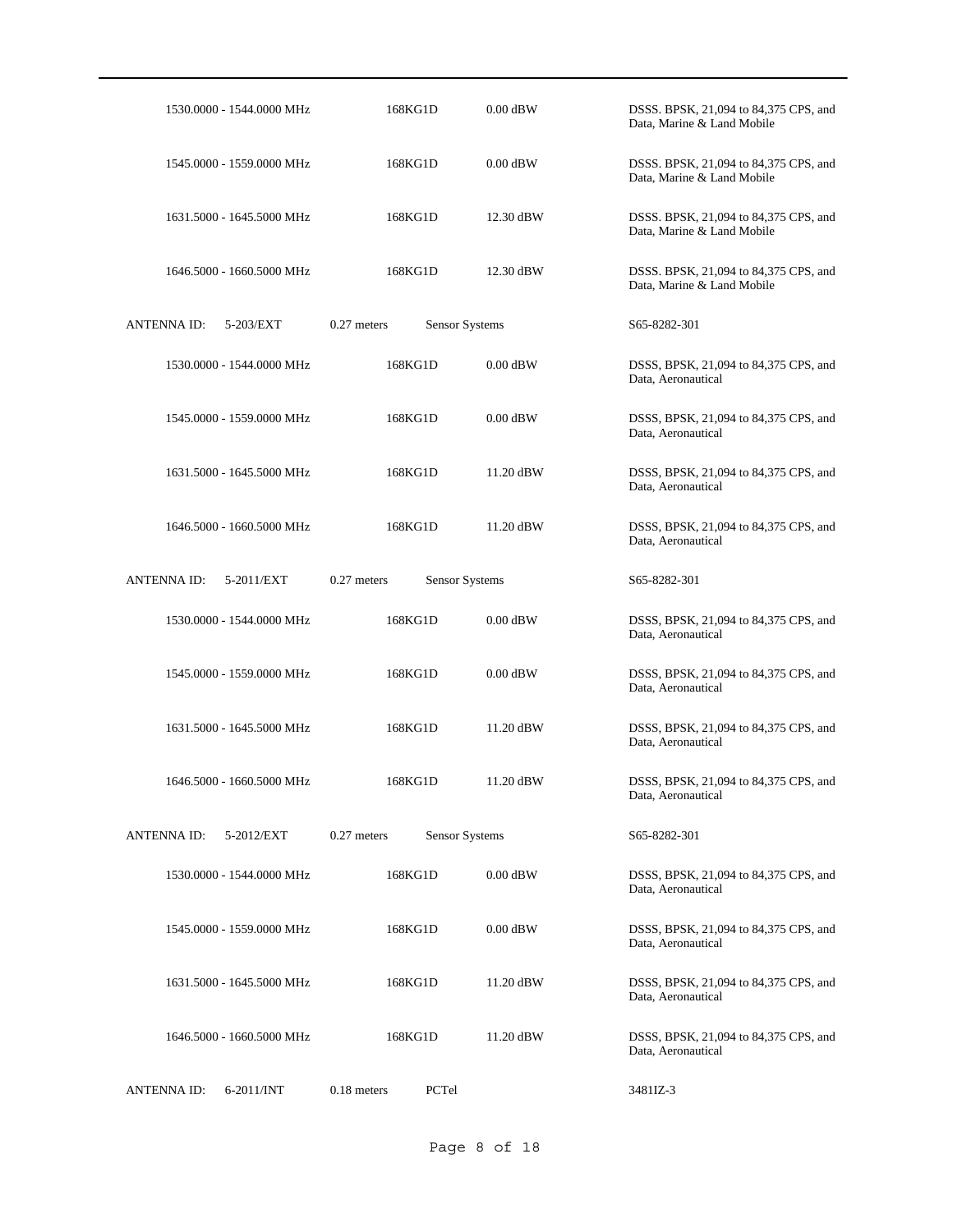| 1530.0000 - 1544.0000 MHz        | 168KG1D                         | $0.00$ dBW | DSSS. BPSK, 21,094 to 84,375 CPS, and<br>Data, Marine & Land Mobile |
|----------------------------------|---------------------------------|------------|---------------------------------------------------------------------|
| 1545.0000 - 1559.0000 MHz        | 168KG1D                         | $0.00$ dBW | DSSS. BPSK, 21,094 to 84,375 CPS, and<br>Data, Marine & Land Mobile |
| 1631.5000 - 1645.5000 MHz        | 168KG1D                         | 12.30 dBW  | DSSS. BPSK, 21,094 to 84,375 CPS, and<br>Data, Marine & Land Mobile |
| 1646.5000 - 1660.5000 MHz        | 168KG1D                         | 12.30 dBW  | DSSS. BPSK, 21,094 to 84,375 CPS, and<br>Data, Marine & Land Mobile |
| <b>ANTENNA ID:</b><br>5-203/EXT  | $0.27$ meters<br>Sensor Systems |            | S65-8282-301                                                        |
| 1530.0000 - 1544.0000 MHz        | 168KG1D                         | $0.00$ dBW | DSSS, BPSK, 21,094 to 84,375 CPS, and<br>Data, Aeronautical         |
| 1545.0000 - 1559.0000 MHz        | 168KG1D                         | $0.00$ dBW | DSSS, BPSK, 21,094 to 84,375 CPS, and<br>Data, Aeronautical         |
| 1631.5000 - 1645.5000 MHz        | 168KG1D                         | 11.20 dBW  | DSSS, BPSK, 21,094 to 84,375 CPS, and<br>Data, Aeronautical         |
| 1646.5000 - 1660.5000 MHz        | 168KG1D                         | 11.20 dBW  | DSSS, BPSK, 21,094 to 84,375 CPS, and<br>Data, Aeronautical         |
| <b>ANTENNA ID:</b><br>5-2011/EXT | $0.27$ meters<br>Sensor Systems |            | S65-8282-301                                                        |
| 1530.0000 - 1544.0000 MHz        | 168KG1D                         | $0.00$ dBW | DSSS, BPSK, 21,094 to 84,375 CPS, and<br>Data, Aeronautical         |
| 1545.0000 - 1559.0000 MHz        | 168KG1D                         | $0.00$ dBW | DSSS, BPSK, 21,094 to 84,375 CPS, and<br>Data, Aeronautical         |
| 1631.5000 - 1645.5000 MHz        | 168KG1D                         | 11.20 dBW  | DSSS, BPSK, 21,094 to 84,375 CPS, and<br>Data, Aeronautical         |
| 1646.5000 - 1660.5000 MHz        | 168KG1D                         | 11.20 dBW  | DSSS, BPSK, 21,094 to 84,375 CPS, and<br>Data, Aeronautical         |
| ANTENNA ID:<br>5-2012/EXT        | Sensor Systems<br>$0.27$ meters |            | S65-8282-301                                                        |
| 1530.0000 - 1544.0000 MHz        | 168KG1D                         | $0.00$ dBW | DSSS, BPSK, 21,094 to 84,375 CPS, and<br>Data, Aeronautical         |
| 1545.0000 - 1559.0000 MHz        | 168KG1D                         | $0.00$ dBW | DSSS, BPSK, 21,094 to 84,375 CPS, and<br>Data, Aeronautical         |
| 1631.5000 - 1645.5000 MHz        | 168KG1D                         | 11.20 dBW  | DSSS, BPSK, 21,094 to 84,375 CPS, and<br>Data, Aeronautical         |
| 1646.5000 - 1660.5000 MHz        | 168KG1D                         | 11.20 dBW  | DSSS, BPSK, 21,094 to 84,375 CPS, and<br>Data, Aeronautical         |
| <b>ANTENNA ID:</b><br>6-2011/INT | $0.18$ meters<br>PCTel          |            | 3481IZ-3                                                            |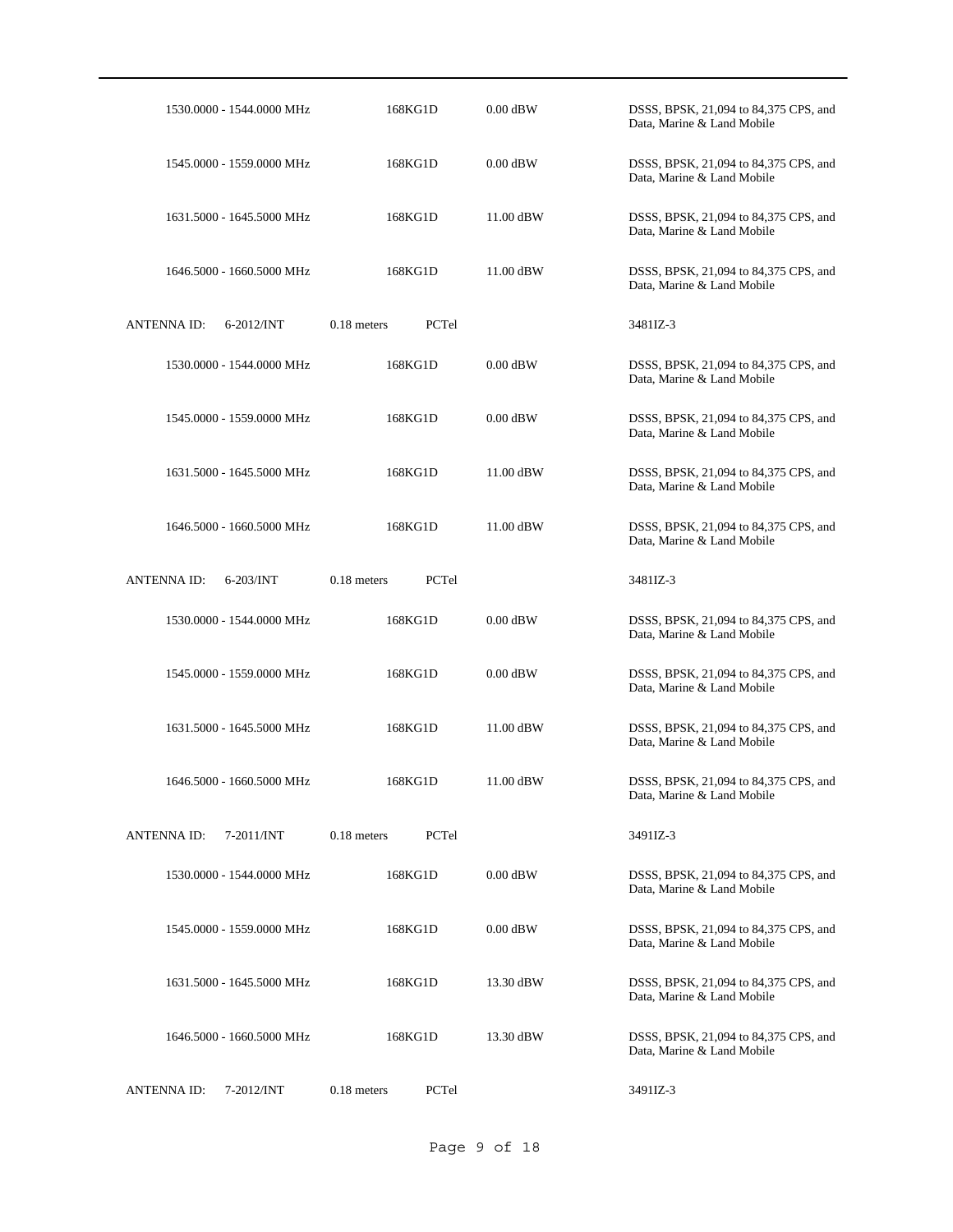|                    | 1530.0000 - 1544.0000 MHz |               | 168KG1D | $0.00$ dBW  | DSSS, BPSK, 21,094 to 84,375 CPS, and<br>Data, Marine & Land Mobile |
|--------------------|---------------------------|---------------|---------|-------------|---------------------------------------------------------------------|
|                    | 1545.0000 - 1559.0000 MHz |               | 168KG1D | $0.00$ dBW  | DSSS, BPSK, 21,094 to 84,375 CPS, and<br>Data, Marine & Land Mobile |
|                    | 1631.5000 - 1645.5000 MHz |               | 168KG1D | 11.00 dBW   | DSSS, BPSK, 21,094 to 84,375 CPS, and<br>Data, Marine & Land Mobile |
|                    | 1646.5000 - 1660.5000 MHz |               | 168KG1D | 11.00 dBW   | DSSS, BPSK, 21,094 to 84,375 CPS, and<br>Data, Marine & Land Mobile |
| <b>ANTENNA ID:</b> | 6-2012/INT                | $0.18$ meters | PCTel   |             | 3481IZ-3                                                            |
|                    | 1530.0000 - 1544.0000 MHz |               | 168KG1D | $0.00$ dBW  | DSSS, BPSK, 21,094 to 84,375 CPS, and<br>Data, Marine & Land Mobile |
|                    | 1545.0000 - 1559.0000 MHz |               | 168KG1D | $0.00$ dBW  | DSSS, BPSK, 21,094 to 84,375 CPS, and<br>Data, Marine & Land Mobile |
|                    | 1631.5000 - 1645.5000 MHz |               | 168KG1D | 11.00 dBW   | DSSS, BPSK, 21,094 to 84,375 CPS, and<br>Data, Marine & Land Mobile |
|                    | 1646.5000 - 1660.5000 MHz |               | 168KG1D | 11.00 dBW   | DSSS, BPSK, 21,094 to 84,375 CPS, and<br>Data, Marine & Land Mobile |
| <b>ANTENNA ID:</b> | 6-203/INT                 | $0.18$ meters | PCTel   |             | 3481IZ-3                                                            |
|                    | 1530.0000 - 1544.0000 MHz |               | 168KG1D | $0.00$ dBW  | DSSS, BPSK, 21,094 to 84,375 CPS, and<br>Data, Marine & Land Mobile |
|                    | 1545.0000 - 1559.0000 MHz |               | 168KG1D | $0.00$ dBW  | DSSS, BPSK, 21,094 to 84,375 CPS, and<br>Data, Marine & Land Mobile |
|                    | 1631.5000 - 1645.5000 MHz |               | 168KG1D | 11.00 dBW   | DSSS, BPSK, 21,094 to 84,375 CPS, and<br>Data, Marine & Land Mobile |
|                    | 1646.5000 - 1660.5000 MHz |               | 168KG1D | $11.00$ dBW | DSSS, BPSK, 21,094 to 84,375 CPS, and<br>Data, Marine & Land Mobile |
| <b>ANTENNA ID:</b> | 7-2011/INT                | 0.18 meters   | PCTel   |             | 3491IZ-3                                                            |
|                    | 1530.0000 - 1544.0000 MHz |               | 168KG1D | $0.00$ dBW  | DSSS, BPSK, 21,094 to 84,375 CPS, and<br>Data, Marine & Land Mobile |
|                    | 1545.0000 - 1559.0000 MHz |               | 168KG1D | $0.00$ dBW  | DSSS, BPSK, 21,094 to 84,375 CPS, and<br>Data, Marine & Land Mobile |
|                    | 1631.5000 - 1645.5000 MHz |               | 168KG1D | 13.30 dBW   | DSSS, BPSK, 21,094 to 84,375 CPS, and<br>Data, Marine & Land Mobile |
|                    | 1646.5000 - 1660.5000 MHz |               | 168KG1D | 13.30 dBW   | DSSS, BPSK, 21,094 to 84,375 CPS, and<br>Data, Marine & Land Mobile |
| <b>ANTENNA ID:</b> | 7-2012/INT                | 0.18 meters   | PCTel   |             | 3491IZ-3                                                            |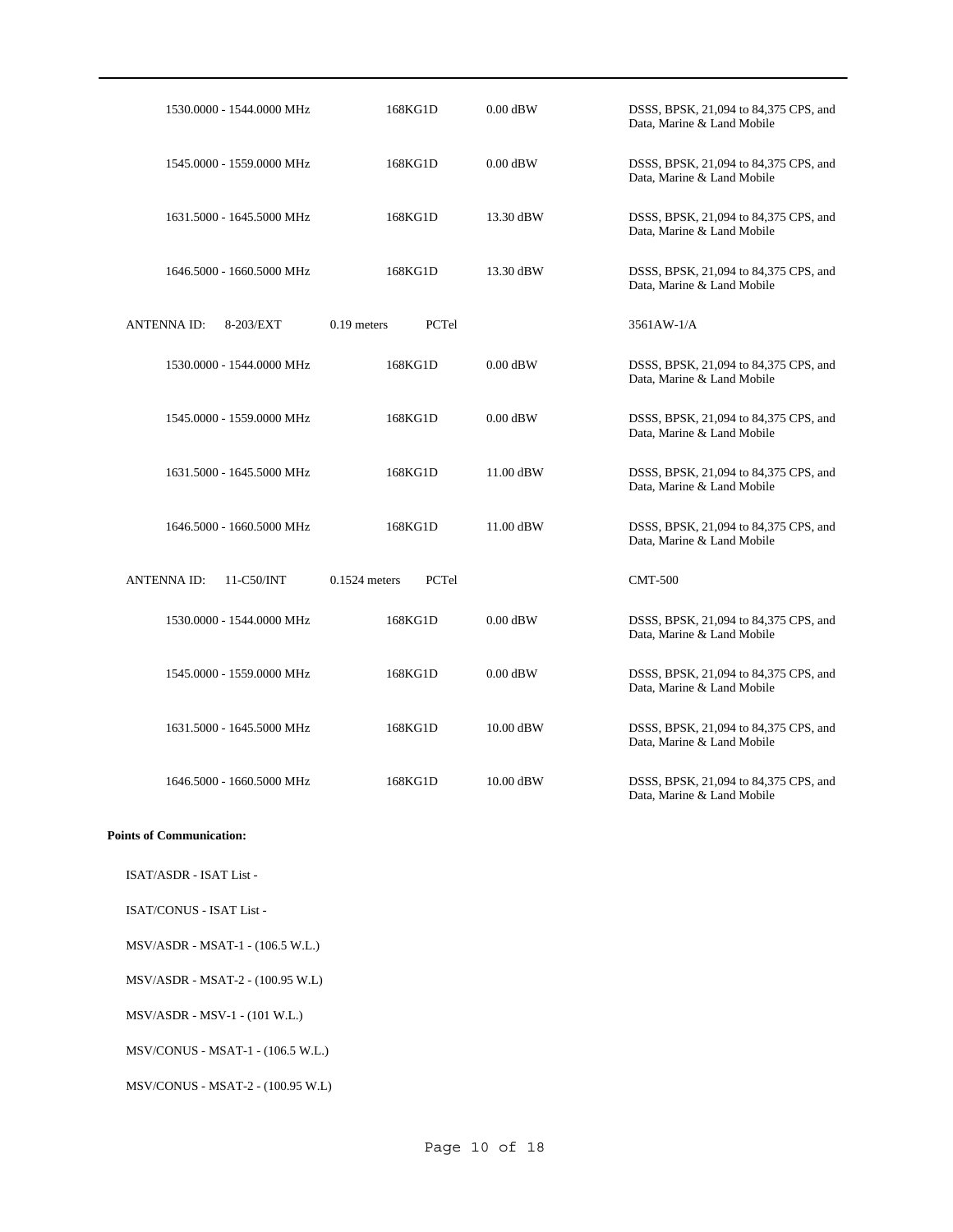| 1530,0000 - 1544,0000 MHz        | 168KG1D                  | $0.00$ dBW | DSSS, BPSK, 21,094 to 84,375 CPS, and<br>Data, Marine & Land Mobile |
|----------------------------------|--------------------------|------------|---------------------------------------------------------------------|
| 1545.0000 - 1559.0000 MHz        | 168KG1D                  | $0.00$ dBW | DSSS, BPSK, 21,094 to 84,375 CPS, and<br>Data, Marine & Land Mobile |
| 1631.5000 - 1645.5000 MHz        | 168KG1D                  | 13.30 dBW  | DSSS, BPSK, 21,094 to 84,375 CPS, and<br>Data, Marine & Land Mobile |
| 1646.5000 - 1660.5000 MHz        | 168KG1D                  | 13.30 dBW  | DSSS, BPSK, 21,094 to 84,375 CPS, and<br>Data, Marine & Land Mobile |
| <b>ANTENNAID:</b><br>8-203/EXT   | $0.19$ meters<br>PCTel   |            | 3561AW-1/A                                                          |
| 1530.0000 - 1544.0000 MHz        | 168KG1D                  | $0.00$ dBW | DSSS, BPSK, 21,094 to 84,375 CPS, and<br>Data, Marine & Land Mobile |
| 1545.0000 - 1559.0000 MHz        | 168KG1D                  | $0.00$ dBW | DSSS, BPSK, 21,094 to 84,375 CPS, and<br>Data, Marine & Land Mobile |
| 1631.5000 - 1645.5000 MHz        | 168KG1D                  | 11.00 dBW  | DSSS, BPSK, 21,094 to 84,375 CPS, and<br>Data, Marine & Land Mobile |
| 1646.5000 - 1660.5000 MHz        | 168KG1D                  | 11.00 dBW  | DSSS, BPSK, 21,094 to 84,375 CPS, and<br>Data, Marine & Land Mobile |
| <b>ANTENNA ID:</b><br>11-C50/INT | PCTel<br>$0.1524$ meters |            | <b>CMT-500</b>                                                      |
| 1530.0000 - 1544.0000 MHz        | 168KG1D                  | $0.00$ dBW | DSSS, BPSK, 21,094 to 84,375 CPS, and<br>Data, Marine & Land Mobile |
| 1545,0000 - 1559,0000 MHz        | 168KG1D                  | $0.00$ dBW | DSSS, BPSK, 21,094 to 84,375 CPS, and<br>Data, Marine & Land Mobile |
| 1631.5000 - 1645.5000 MHz        | 168KG1D                  | 10.00 dBW  | DSSS, BPSK, 21,094 to 84,375 CPS, and<br>Data, Marine & Land Mobile |
| 1646.5000 - 1660.5000 MHz        | 168KG1D                  | 10.00 dBW  | DSSS, BPSK, 21,094 to 84,375 CPS, and<br>Data, Marine & Land Mobile |

### **Points of Communication:**

ISAT/ASDR - ISAT List -

ISAT/CONUS - ISAT List -

MSV/ASDR - MSAT-1 - (106.5 W.L.)

MSV/ASDR - MSAT-2 - (100.95 W.L)

MSV/ASDR - MSV-1 - (101 W.L.)

MSV/CONUS - MSAT-1 - (106.5 W.L.)

MSV/CONUS - MSAT-2 - (100.95 W.L)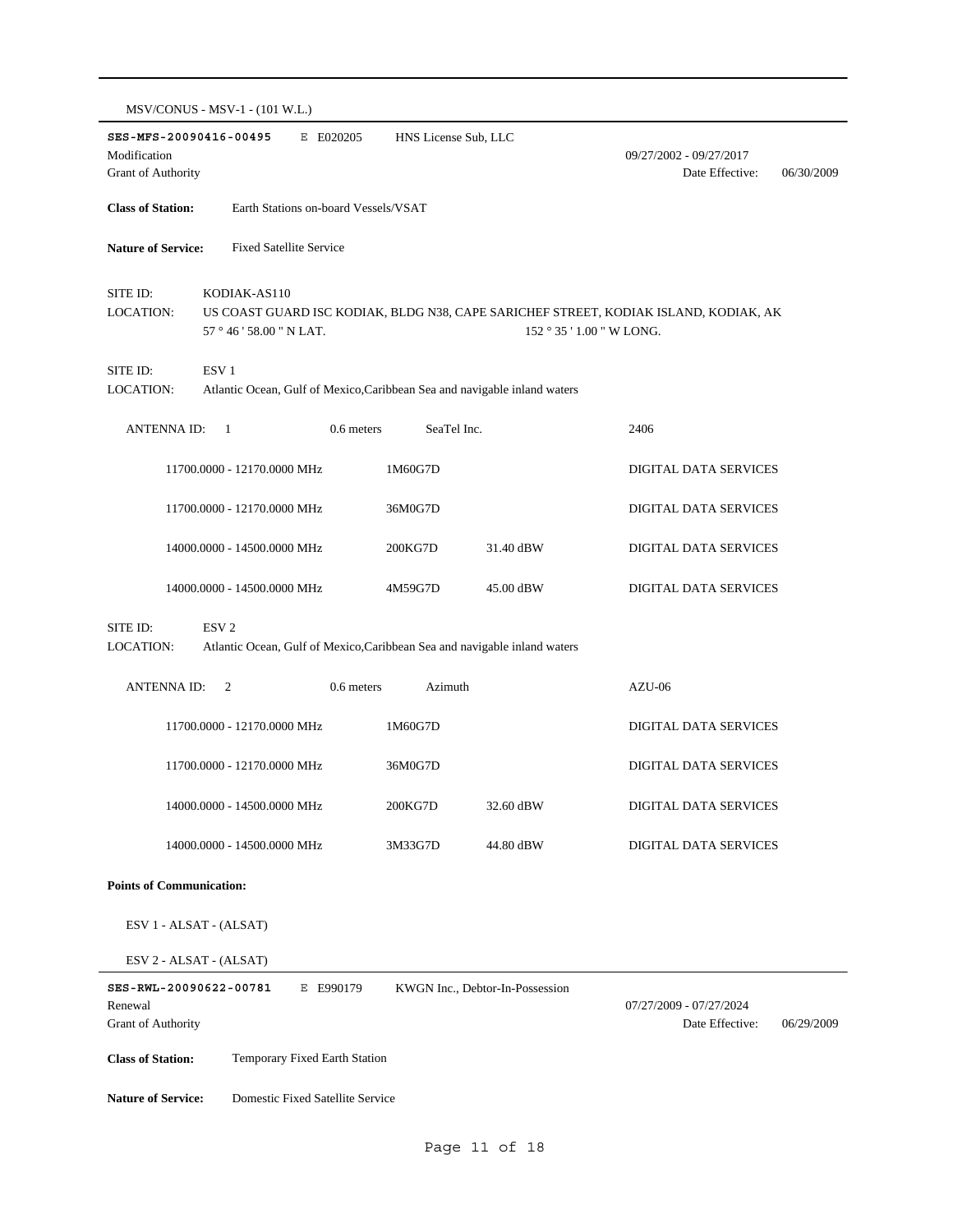|                                                                                                                        | MSV/CONUS - MSV-1 - (101 W.L.)                                                                |                      |                                 |                                                                                                                   |  |
|------------------------------------------------------------------------------------------------------------------------|-----------------------------------------------------------------------------------------------|----------------------|---------------------------------|-------------------------------------------------------------------------------------------------------------------|--|
| SES-MFS-20090416-00495<br>Modification<br>Grant of Authority                                                           | E E020205                                                                                     | HNS License Sub, LLC |                                 | 09/27/2002 - 09/27/2017<br>Date Effective:<br>06/30/2009                                                          |  |
| <b>Class of Station:</b>                                                                                               | Earth Stations on-board Vessels/VSAT                                                          |                      |                                 |                                                                                                                   |  |
| <b>Nature of Service:</b>                                                                                              | <b>Fixed Satellite Service</b>                                                                |                      |                                 |                                                                                                                   |  |
| SITE ID:<br><b>LOCATION:</b>                                                                                           | KODIAK-AS110<br>57 ° 46 ' 58.00 " N LAT.                                                      |                      |                                 | US COAST GUARD ISC KODIAK, BLDG N38, CAPE SARICHEF STREET, KODIAK ISLAND, KODIAK, AK<br>152 ° 35 ' 1.00 " W LONG. |  |
| SITE ID:<br>LOCATION:                                                                                                  | ESV <sub>1</sub><br>Atlantic Ocean, Gulf of Mexico, Caribbean Sea and navigable inland waters |                      |                                 |                                                                                                                   |  |
| ANTENNA ID:                                                                                                            | 0.6 meters<br>- 1                                                                             | SeaTel Inc.          |                                 | 2406                                                                                                              |  |
|                                                                                                                        | 11700.0000 - 12170.0000 MHz                                                                   | 1M60G7D              |                                 | DIGITAL DATA SERVICES                                                                                             |  |
|                                                                                                                        | 11700.0000 - 12170.0000 MHz                                                                   | 36M0G7D              |                                 | <b>DIGITAL DATA SERVICES</b>                                                                                      |  |
|                                                                                                                        | 14000.0000 - 14500.0000 MHz                                                                   | 200KG7D              | 31.40 dBW                       | DIGITAL DATA SERVICES                                                                                             |  |
|                                                                                                                        | 14000.0000 - 14500.0000 MHz                                                                   | 4M59G7D              | 45.00 dBW                       | DIGITAL DATA SERVICES                                                                                             |  |
| SITE ID:<br>ESV <sub>2</sub><br>Atlantic Ocean, Gulf of Mexico, Caribbean Sea and navigable inland waters<br>LOCATION: |                                                                                               |                      |                                 |                                                                                                                   |  |
| <b>ANTENNAID:</b>                                                                                                      | $\overline{c}$<br>0.6 meters                                                                  | Azimuth              |                                 | $AZU-06$                                                                                                          |  |
|                                                                                                                        | 11700.0000 - 12170.0000 MHz                                                                   | 1M60G7D              |                                 | DIGITAL DATA SERVICES                                                                                             |  |
|                                                                                                                        | 11700.0000 - 12170.0000 MHz                                                                   | 36M0G7D              |                                 | DIGITAL DATA SERVICES                                                                                             |  |
|                                                                                                                        | 14000.0000 - 14500.0000 MHz                                                                   | 200KG7D              | 32.60 dBW                       | DIGITAL DATA SERVICES                                                                                             |  |
|                                                                                                                        | 14000.0000 - 14500.0000 MHz                                                                   | 3M33G7D              | 44.80 dBW                       | DIGITAL DATA SERVICES                                                                                             |  |
| <b>Points of Communication:</b>                                                                                        |                                                                                               |                      |                                 |                                                                                                                   |  |
|                                                                                                                        | ESV 1 - ALSAT - (ALSAT)                                                                       |                      |                                 |                                                                                                                   |  |
|                                                                                                                        | ESV 2 - ALSAT - (ALSAT)                                                                       |                      |                                 |                                                                                                                   |  |
| SES-RWL-20090622-00781<br>Renewal<br>Grant of Authority                                                                | E E990179                                                                                     |                      | KWGN Inc., Debtor-In-Possession | 07/27/2009 - 07/27/2024<br>Date Effective:<br>06/29/2009                                                          |  |
| <b>Class of Station:</b>                                                                                               | Temporary Fixed Earth Station                                                                 |                      |                                 |                                                                                                                   |  |
| <b>Nature of Service:</b>                                                                                              | Domestic Fixed Satellite Service                                                              |                      |                                 |                                                                                                                   |  |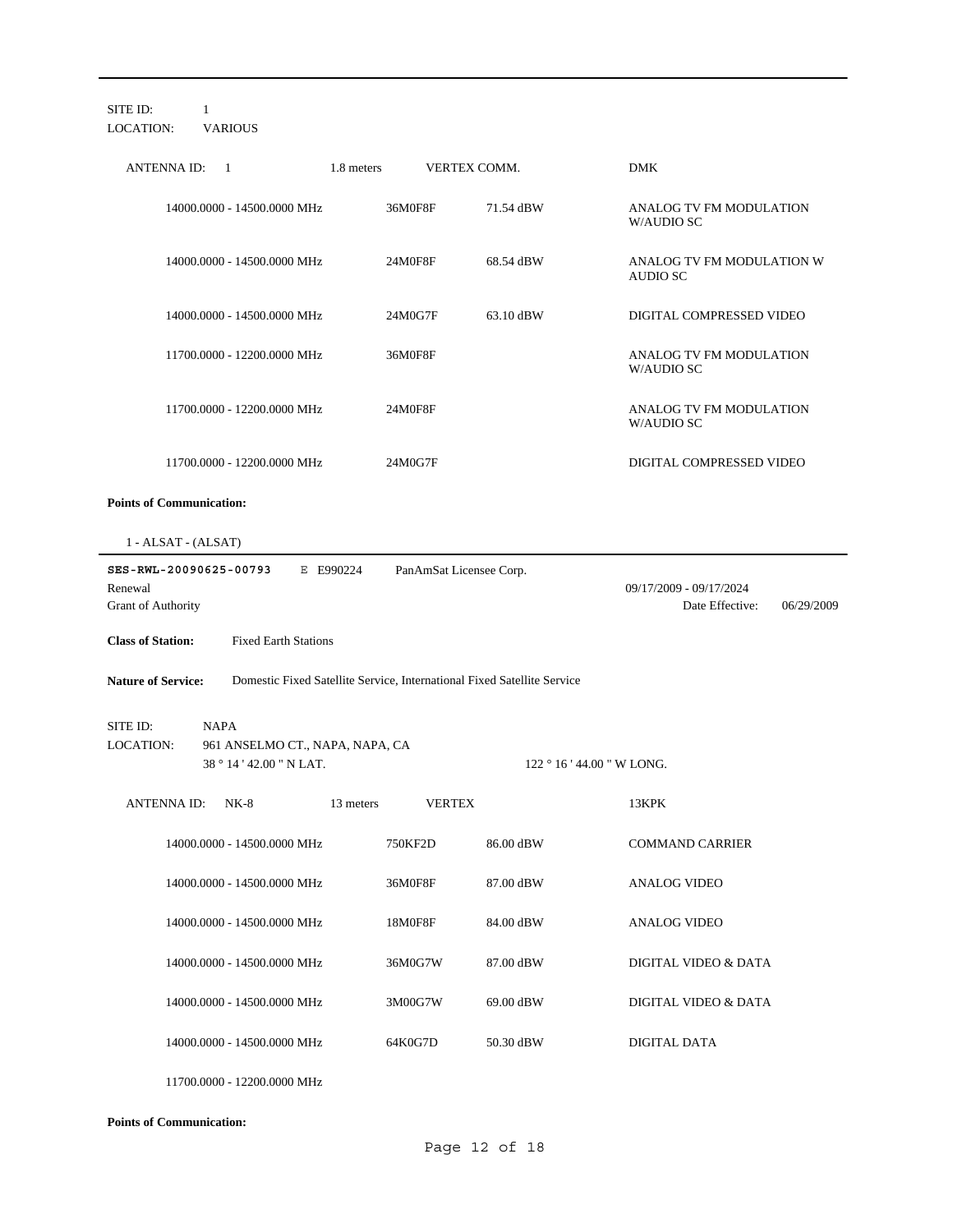| SITE ID:<br>1<br><b>VARIOUS</b><br>LOCATION:                             |                                                                         |                                                          |
|--------------------------------------------------------------------------|-------------------------------------------------------------------------|----------------------------------------------------------|
| <b>ANTENNA ID:</b><br>1.8 meters<br>$\overline{1}$                       | VERTEX COMM.                                                            | <b>DMK</b>                                               |
| 14000.0000 - 14500.0000 MHz                                              | 36M0F8F<br>71.54 dBW                                                    | ANALOG TV FM MODULATION<br>W/AUDIO SC                    |
| 14000.0000 - 14500.0000 MHz                                              | 68.54 dBW<br>24M0F8F                                                    | ANALOG TV FM MODULATION W<br>AUDIO SC                    |
| 14000.0000 - 14500.0000 MHz                                              | 24M0G7F<br>63.10 dBW                                                    | DIGITAL COMPRESSED VIDEO                                 |
| 11700.0000 - 12200.0000 MHz                                              | 36M0F8F                                                                 | ANALOG TV FM MODULATION<br>W/AUDIO SC                    |
| 11700.0000 - 12200.0000 MHz                                              | 24M0F8F                                                                 | ANALOG TV FM MODULATION<br>W/AUDIO SC                    |
| 11700.0000 - 12200.0000 MHz                                              | 24M0G7F                                                                 | DIGITAL COMPRESSED VIDEO                                 |
| <b>Points of Communication:</b>                                          |                                                                         |                                                          |
| $1 - ALSAT - (ALSAT)$                                                    |                                                                         |                                                          |
| SES-RWL-20090625-00793<br>E E990224<br>Renewal<br>Grant of Authority     | PanAmSat Licensee Corp.                                                 | 09/17/2009 - 09/17/2024<br>Date Effective:<br>06/29/2009 |
| <b>Fixed Earth Stations</b><br><b>Class of Station:</b>                  |                                                                         |                                                          |
| <b>Nature of Service:</b>                                                | Domestic Fixed Satellite Service, International Fixed Satellite Service |                                                          |
| <b>NAPA</b><br>SITE ID:                                                  |                                                                         |                                                          |
| LOCATION:<br>961 ANSELMO CT., NAPA, NAPA, CA<br>38 ° 14 ' 42.00 " N LAT. |                                                                         | $122 \degree 16$ ' 44.00 " W LONG.                       |
| ANTENNA ID:<br>$NK-8$<br>13 meters                                       | <b>VERTEX</b>                                                           | 13KPK                                                    |
| 14000.0000 - 14500.0000 MHz                                              | 750KF2D<br>86.00 dBW                                                    | <b>COMMAND CARRIER</b>                                   |
| 14000.0000 - 14500.0000 MHz                                              | 36M0F8F<br>87.00 dBW                                                    | <b>ANALOG VIDEO</b>                                      |
| 14000.0000 - 14500.0000 MHz                                              | 18M0F8F<br>84.00 dBW                                                    | <b>ANALOG VIDEO</b>                                      |
| 14000.0000 - 14500.0000 MHz                                              | 36M0G7W<br>87.00 dBW                                                    | DIGITAL VIDEO & DATA                                     |
| 14000.0000 - 14500.0000 MHz                                              | 3M00G7W<br>69.00 dBW                                                    | DIGITAL VIDEO & DATA                                     |
| 14000.0000 - 14500.0000 MHz                                              | 64K0G7D<br>50.30 dBW                                                    | DIGITAL DATA                                             |
| 11700.0000 - 12200.0000 MHz                                              |                                                                         |                                                          |

**Points of Communication:**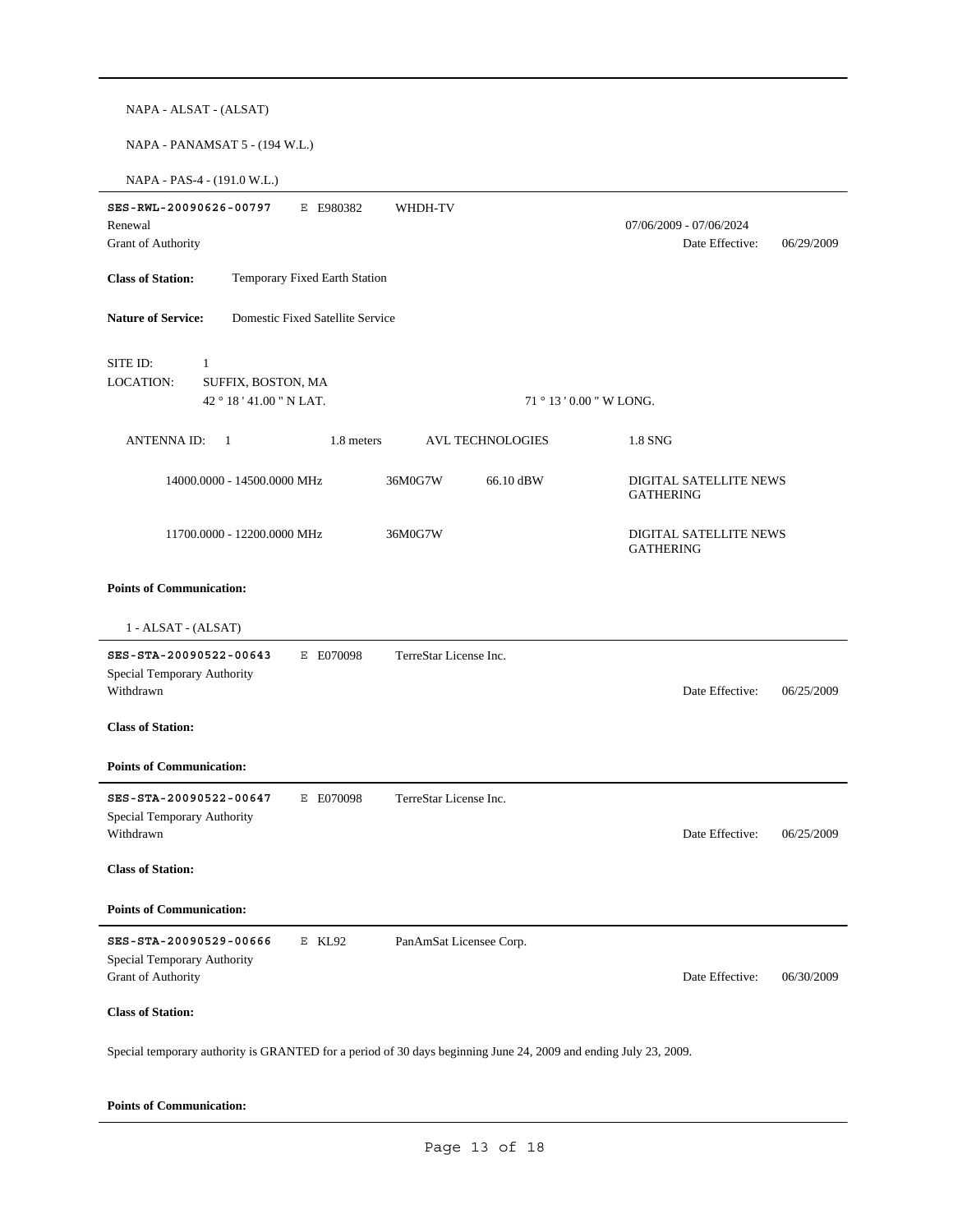| NAPA - ALSAT - (ALSAT)                                                                                           |                          |                                                          |
|------------------------------------------------------------------------------------------------------------------|--------------------------|----------------------------------------------------------|
| NAPA - PANAMSAT 5 - (194 W.L.)                                                                                   |                          |                                                          |
| NAPA - PAS-4 - (191.0 W.L.)                                                                                      |                          |                                                          |
| SES-RWL-20090626-00797<br>E E980382<br>Renewal<br>Grant of Authority                                             | WHDH-TV                  | 07/06/2009 - 07/06/2024<br>Date Effective:<br>06/29/2009 |
| <b>Class of Station:</b><br>Temporary Fixed Earth Station                                                        |                          |                                                          |
| Domestic Fixed Satellite Service<br><b>Nature of Service:</b>                                                    |                          |                                                          |
| SITE ID:<br>1<br>LOCATION:<br>SUFFIX, BOSTON, MA<br>42 ° 18 ' 41.00 " N LAT.                                     | 71 ° 13 ' 0.00 " W LONG. |                                                          |
| 1.8 meters<br><b>ANTENNA ID:</b><br>$\overline{1}$                                                               | <b>AVL TECHNOLOGIES</b>  | 1.8 SNG                                                  |
| 14000.0000 - 14500.0000 MHz                                                                                      | 36M0G7W<br>66.10 dBW     | DIGITAL SATELLITE NEWS<br><b>GATHERING</b>               |
| 11700.0000 - 12200.0000 MHz                                                                                      | 36M0G7W                  | DIGITAL SATELLITE NEWS<br><b>GATHERING</b>               |
| <b>Points of Communication:</b>                                                                                  |                          |                                                          |
| 1 - ALSAT - (ALSAT)                                                                                              |                          |                                                          |
| SES-STA-20090522-00643<br>E E070098<br>Special Temporary Authority<br>Withdrawn                                  | TerreStar License Inc.   | Date Effective:<br>06/25/2009                            |
| <b>Class of Station:</b>                                                                                         |                          |                                                          |
| <b>Points of Communication:</b>                                                                                  |                          |                                                          |
| SES-STA-20090522-00647<br>E E070098<br>Special Temporary Authority<br>Withdrawn                                  | TerreStar License Inc.   | Date Effective:<br>06/25/2009                            |
| <b>Class of Station:</b>                                                                                         |                          |                                                          |
| <b>Points of Communication:</b>                                                                                  |                          |                                                          |
| SES-STA-20090529-00666<br>E KL92<br>Special Temporary Authority<br>Grant of Authority                            | PanAmSat Licensee Corp.  | Date Effective:<br>06/30/2009                            |
| <b>Class of Station:</b>                                                                                         |                          |                                                          |
| Special temporary authority is GRANTED for a period of 30 days beginning June 24, 2009 and ending July 23, 2009. |                          |                                                          |

### **Points of Communication:**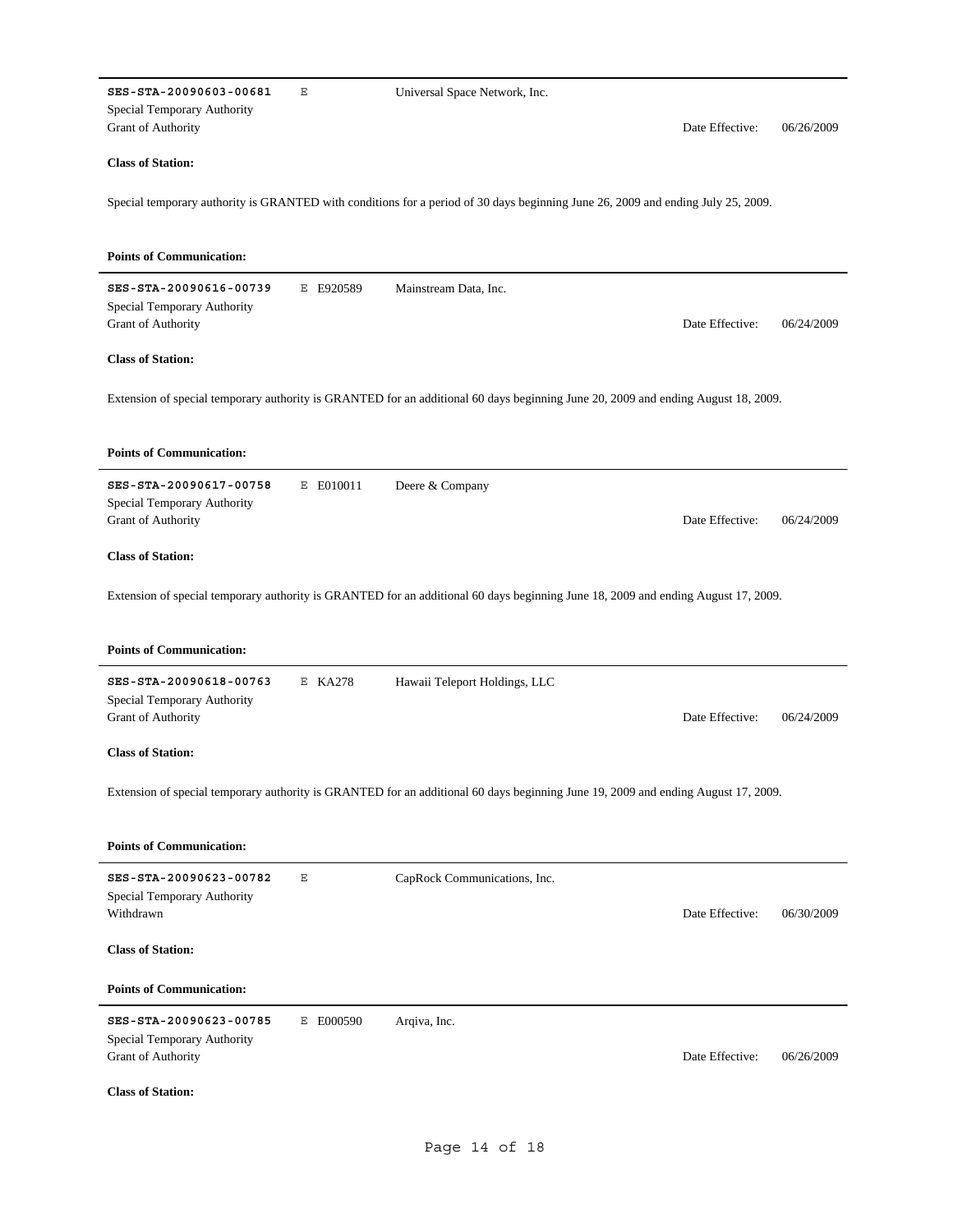|                                                                             | Ε         | Universal Space Network, Inc.                                                                                                     |                 |            |
|-----------------------------------------------------------------------------|-----------|-----------------------------------------------------------------------------------------------------------------------------------|-----------------|------------|
| Special Temporary Authority<br>Grant of Authority                           |           |                                                                                                                                   | Date Effective: | 06/26/2009 |
| <b>Class of Station:</b>                                                    |           |                                                                                                                                   |                 |            |
|                                                                             |           | Special temporary authority is GRANTED with conditions for a period of 30 days beginning June 26, 2009 and ending July 25, 2009.  |                 |            |
| <b>Points of Communication:</b>                                             |           |                                                                                                                                   |                 |            |
| SES-STA-20090616-00739<br>Special Temporary Authority<br>Grant of Authority | E E920589 | Mainstream Data, Inc.                                                                                                             | Date Effective: | 06/24/2009 |
| <b>Class of Station:</b>                                                    |           |                                                                                                                                   |                 |            |
|                                                                             |           | Extension of special temporary authority is GRANTED for an additional 60 days beginning June 20, 2009 and ending August 18, 2009. |                 |            |
| <b>Points of Communication:</b>                                             |           |                                                                                                                                   |                 |            |
| SES-STA-20090617-00758                                                      | E E010011 | Deere & Company                                                                                                                   |                 |            |
| Special Temporary Authority<br>Grant of Authority                           |           |                                                                                                                                   | Date Effective: | 06/24/2009 |
| <b>Class of Station:</b>                                                    |           |                                                                                                                                   |                 |            |
|                                                                             |           | Extension of special temporary authority is GRANTED for an additional 60 days beginning June 18, 2009 and ending August 17, 2009. |                 |            |
| <b>Points of Communication:</b>                                             |           |                                                                                                                                   |                 |            |
| SES-STA-20090618-00763<br>Special Temporary Authority                       | E KA278   | Hawaii Teleport Holdings, LLC                                                                                                     |                 |            |
| Grant of Authority                                                          |           |                                                                                                                                   | Date Effective: | 06/24/2009 |
| <b>Class of Station:</b>                                                    |           |                                                                                                                                   |                 |            |
|                                                                             |           | Extension of special temporary authority is GRANTED for an additional 60 days beginning June 19, 2009 and ending August 17, 2009. |                 |            |
| <b>Points of Communication:</b>                                             |           |                                                                                                                                   |                 |            |
| SES-STA-20090623-00782<br>Special Temporary Authority<br>Withdrawn          | Ε         | CapRock Communications, Inc.                                                                                                      | Date Effective: | 06/30/2009 |
| <b>Class of Station:</b>                                                    |           |                                                                                                                                   |                 |            |
| <b>Points of Communication:</b>                                             |           |                                                                                                                                   |                 |            |
| SES-STA-20090623-00785<br>Special Temporary Authority<br>Grant of Authority | E E000590 | Arqiva, Inc.                                                                                                                      | Date Effective: | 06/26/2009 |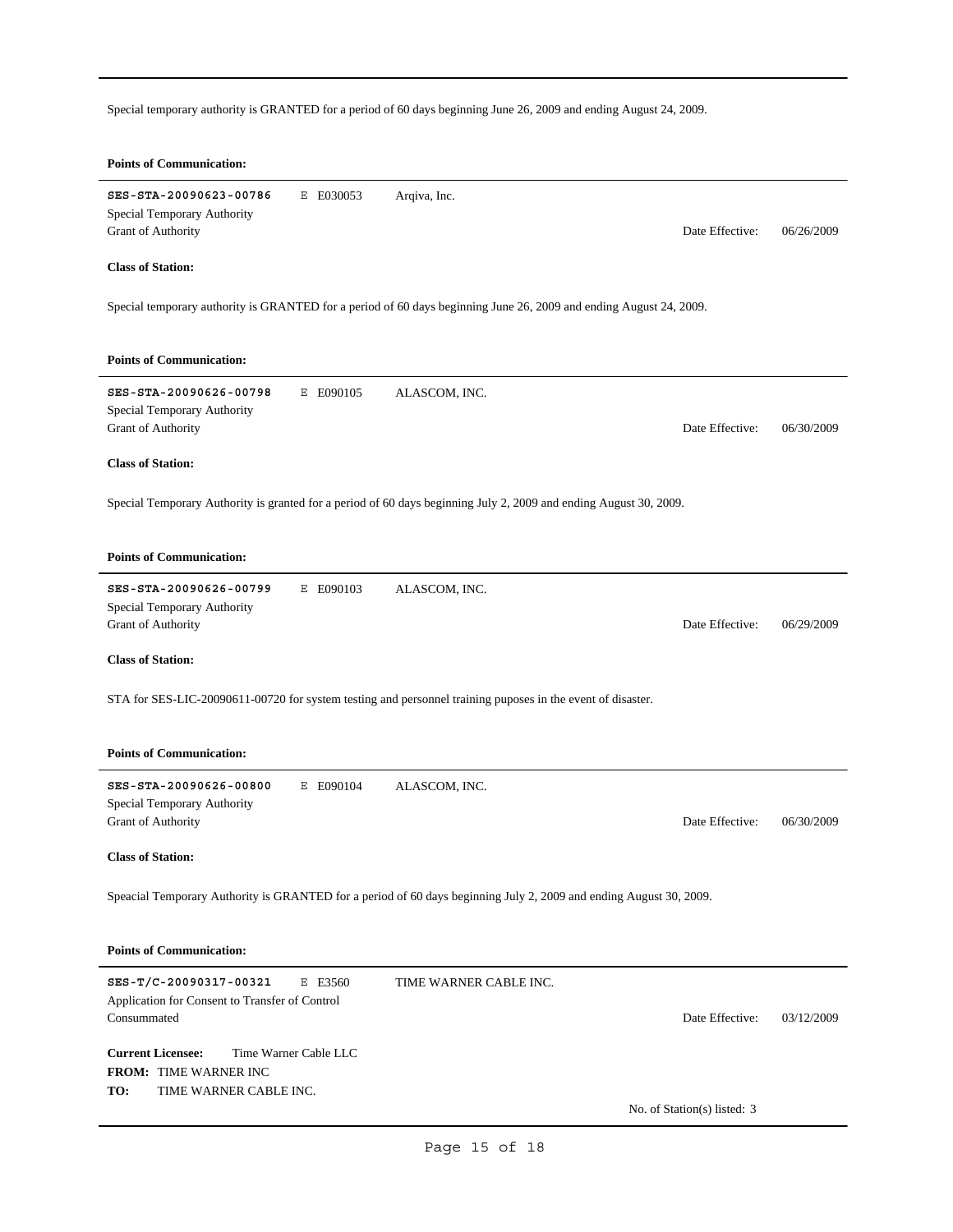Special temporary authority is GRANTED for a period of 60 days beginning June 26, 2009 and ending August 24, 2009.

| <b>Points of Communication:</b>                                                                                    |                        |                               |
|--------------------------------------------------------------------------------------------------------------------|------------------------|-------------------------------|
| SES-STA-20090623-00786<br>E E030053<br>Special Temporary Authority<br>Grant of Authority                           | Arqiva, Inc.           | Date Effective:<br>06/26/2009 |
| <b>Class of Station:</b>                                                                                           |                        |                               |
| Special temporary authority is GRANTED for a period of 60 days beginning June 26, 2009 and ending August 24, 2009. |                        |                               |
| <b>Points of Communication:</b>                                                                                    |                        |                               |
| SES-STA-20090626-00798<br>E E090105<br>Special Temporary Authority<br>Grant of Authority                           | ALASCOM, INC.          | Date Effective:<br>06/30/2009 |
| <b>Class of Station:</b>                                                                                           |                        |                               |
| Special Temporary Authority is granted for a period of 60 days beginning July 2, 2009 and ending August 30, 2009.  |                        |                               |
| <b>Points of Communication:</b>                                                                                    |                        |                               |
| SES-STA-20090626-00799<br>E E090103<br>Special Temporary Authority<br>Grant of Authority                           | ALASCOM, INC.          | Date Effective:<br>06/29/2009 |
| <b>Class of Station:</b>                                                                                           |                        |                               |
| STA for SES-LIC-20090611-00720 for system testing and personnel training puposes in the event of disaster.         |                        |                               |
| <b>Points of Communication:</b>                                                                                    |                        |                               |
| SES-STA-20090626-00800<br>E E090104                                                                                | ALASCOM, INC.          |                               |
| Special Temporary Authority<br>Grant of Authority                                                                  |                        | Date Effective:<br>06/30/2009 |
| <b>Class of Station:</b>                                                                                           |                        |                               |
| Speacial Temporary Authority is GRANTED for a period of 60 days beginning July 2, 2009 and ending August 30, 2009. |                        |                               |
| <b>Points of Communication:</b>                                                                                    |                        |                               |
| SES-T/C-20090317-00321<br>E E3560<br>Application for Consent to Transfer of Control<br>Consummated                 | TIME WARNER CABLE INC. | Date Effective:<br>03/12/2009 |
| <b>Current Licensee:</b><br>Time Warner Cable LLC<br>FROM: TIME WARNER INC                                         |                        |                               |
| TO:<br>TIME WARNER CABLE INC.                                                                                      |                        | No. of Station(s) listed: 3   |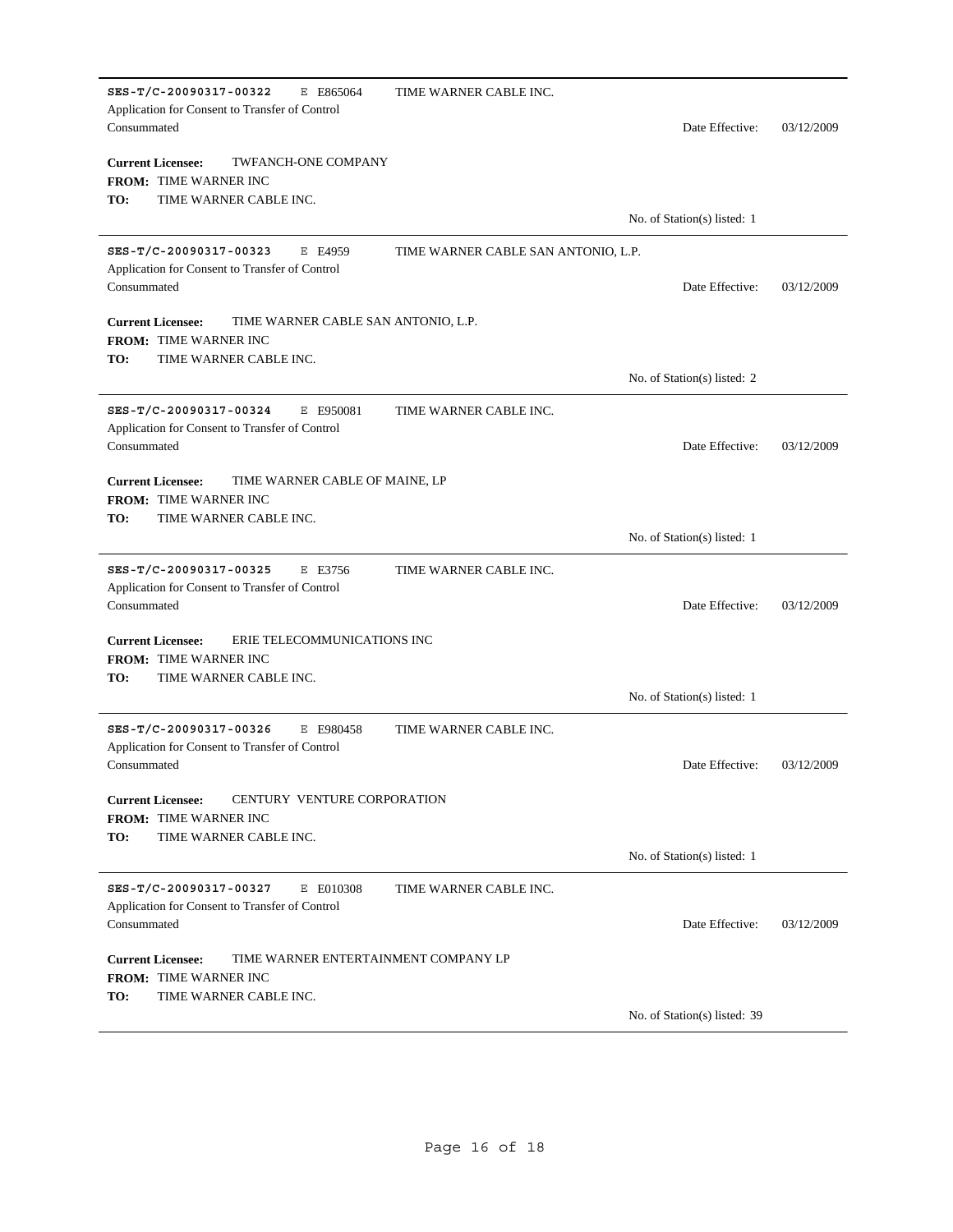| SES-T/C-20090317-00322<br>E E865064<br>Application for Consent to Transfer of Control<br>Consummated                             | TIME WARNER CABLE INC.              | Date Effective:              | 03/12/2009 |
|----------------------------------------------------------------------------------------------------------------------------------|-------------------------------------|------------------------------|------------|
| <b>Current Licensee:</b><br><b>TWFANCH-ONE COMPANY</b><br>FROM: TIME WARNER INC                                                  |                                     |                              |            |
| TO:<br>TIME WARNER CABLE INC.                                                                                                    |                                     |                              |            |
|                                                                                                                                  |                                     | No. of Station(s) listed: 1  |            |
| SES-T/C-20090317-00323<br>E E4959<br>Application for Consent to Transfer of Control<br>Consummated                               | TIME WARNER CABLE SAN ANTONIO, L.P. | Date Effective:              | 03/12/2009 |
| <b>Current Licensee:</b><br>TIME WARNER CABLE SAN ANTONIO, L.P.<br><b>FROM: TIME WARNER INC</b><br>TO:<br>TIME WARNER CABLE INC. |                                     |                              |            |
|                                                                                                                                  |                                     | No. of Station(s) listed: 2  |            |
| SES-T/C-20090317-00324<br>E E950081<br>Application for Consent to Transfer of Control<br>Consummated                             | TIME WARNER CABLE INC.              | Date Effective:              | 03/12/2009 |
| <b>Current Licensee:</b><br>TIME WARNER CABLE OF MAINE, LP<br><b>FROM: TIME WARNER INC</b><br>TO:<br>TIME WARNER CABLE INC.      |                                     | No. of Station(s) listed: 1  |            |
| SES-T/C-20090317-00325<br>E E3756<br>Application for Consent to Transfer of Control<br>Consummated                               | TIME WARNER CABLE INC.              | Date Effective:              | 03/12/2009 |
| <b>Current Licensee:</b><br>ERIE TELECOMMUNICATIONS INC<br><b>FROM: TIME WARNER INC</b><br>TO:<br>TIME WARNER CABLE INC.         |                                     |                              |            |
|                                                                                                                                  |                                     | No. of Station(s) listed: 1  |            |
| SES-T/C-20090317-00326<br>E E980458<br>Application for Consent to Transfer of Control<br>Consummated                             | TIME WARNER CABLE INC.              | Date Effective:              | 03/12/2009 |
| <b>Current Licensee:</b><br>CENTURY VENTURE CORPORATION<br><b>FROM: TIME WARNER INC</b><br>TO:<br>TIME WARNER CABLE INC.         |                                     |                              |            |
|                                                                                                                                  |                                     | No. of Station(s) listed: 1  |            |
| SES-T/C-20090317-00327<br>E E010308<br>Application for Consent to Transfer of Control<br>Consummated                             | TIME WARNER CABLE INC.              | Date Effective:              | 03/12/2009 |
| TIME WARNER ENTERTAINMENT COMPANY LP<br><b>Current Licensee:</b><br>FROM: TIME WARNER INC<br>TO:<br>TIME WARNER CABLE INC.       |                                     |                              |            |
|                                                                                                                                  |                                     | No. of Station(s) listed: 39 |            |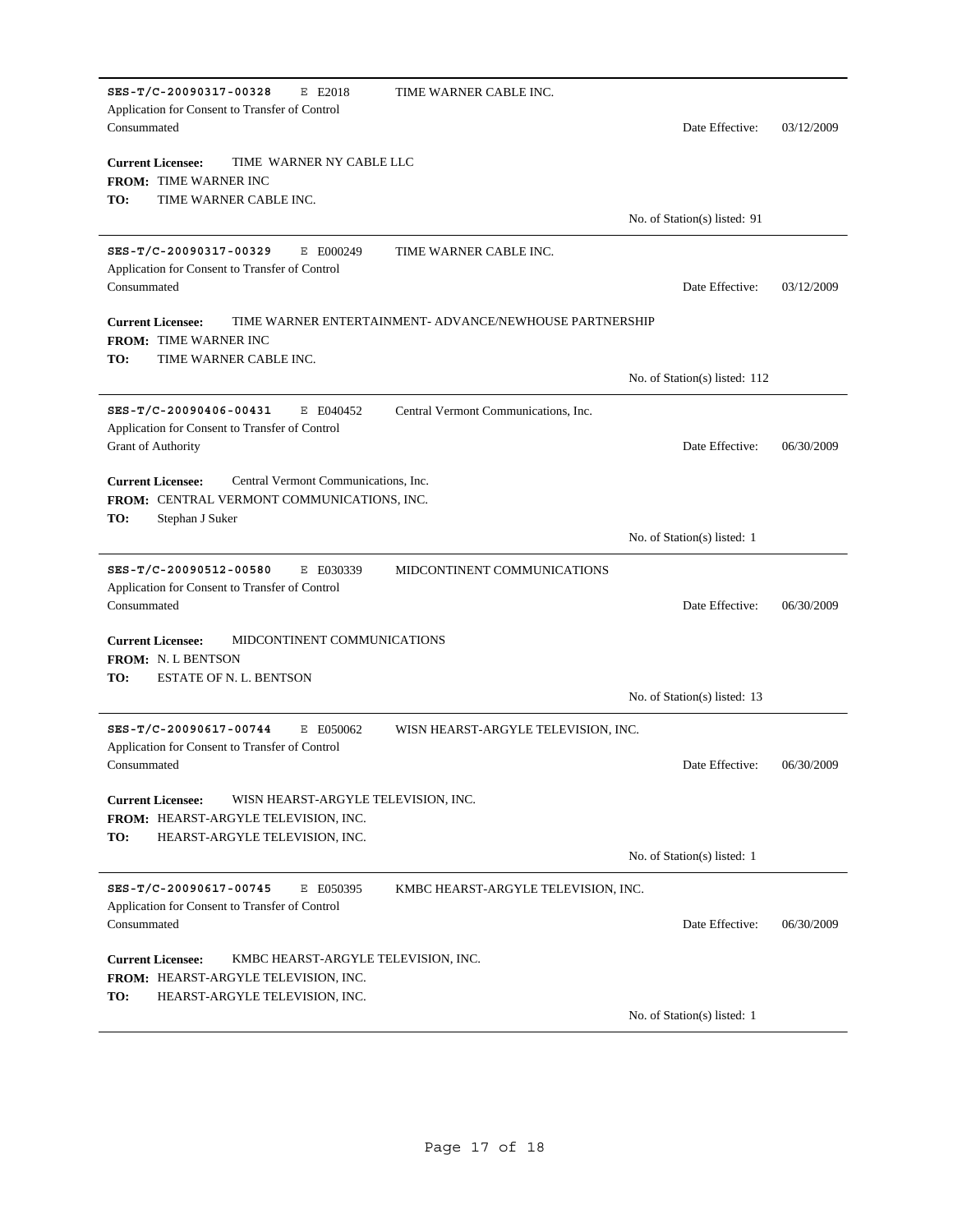| SES-T/C-20090317-00328<br>E E2018<br>Application for Consent to Transfer of Control<br>Consummated                                               | TIME WARNER CABLE INC.                                  | Date Effective:               | 03/12/2009 |
|--------------------------------------------------------------------------------------------------------------------------------------------------|---------------------------------------------------------|-------------------------------|------------|
| <b>Current Licensee:</b><br>TIME WARNER NY CABLE LLC<br>FROM: TIME WARNER INC<br>TO:<br>TIME WARNER CABLE INC.                                   |                                                         | No. of Station(s) listed: 91  |            |
|                                                                                                                                                  |                                                         |                               |            |
| SES-T/C-20090317-00329<br>E E000249<br>Application for Consent to Transfer of Control<br>Consummated                                             | TIME WARNER CABLE INC.                                  | Date Effective:               | 03/12/2009 |
| <b>Current Licensee:</b><br><b>FROM: TIME WARNER INC</b><br>TO:<br>TIME WARNER CABLE INC.                                                        | TIME WARNER ENTERTAINMENT- ADVANCE/NEWHOUSE PARTNERSHIP |                               |            |
|                                                                                                                                                  |                                                         | No. of Station(s) listed: 112 |            |
| SES-T/C-20090406-00431<br>E E040452<br>Application for Consent to Transfer of Control<br>Grant of Authority                                      | Central Vermont Communications, Inc.                    | Date Effective:               | 06/30/2009 |
| <b>Current Licensee:</b><br>Central Vermont Communications, Inc.<br>FROM: CENTRAL VERMONT COMMUNICATIONS, INC.<br>TO:<br>Stephan J Suker         |                                                         | No. of Station(s) listed: 1   |            |
| SES-T/C-20090512-00580<br>E E030339<br>Application for Consent to Transfer of Control<br>Consummated                                             | MIDCONTINENT COMMUNICATIONS                             | Date Effective:               | 06/30/2009 |
| MIDCONTINENT COMMUNICATIONS<br><b>Current Licensee:</b><br><b>FROM: N. L BENTSON</b><br>TO:<br><b>ESTATE OF N. L. BENTSON</b>                    |                                                         |                               |            |
|                                                                                                                                                  |                                                         | No. of Station(s) listed: 13  |            |
| SES-T/C-20090617-00744<br>E E050062<br>Application for Consent to Transfer of Control<br>Consummated                                             | WISN HEARST-ARGYLE TELEVISION, INC.                     | Date Effective:               | 06/30/2009 |
| <b>Current Licensee:</b><br>WISN HEARST-ARGYLE TELEVISION, INC.<br>FROM: HEARST-ARGYLE TELEVISION, INC.<br>TO:<br>HEARST-ARGYLE TELEVISION, INC. |                                                         |                               |            |
|                                                                                                                                                  |                                                         | No. of Station(s) listed: 1   |            |
| SES-T/C-20090617-00745<br>E E050395<br>Application for Consent to Transfer of Control<br>Consummated                                             | KMBC HEARST-ARGYLE TELEVISION, INC.                     | Date Effective:               | 06/30/2009 |
| <b>Current Licensee:</b><br>KMBC HEARST-ARGYLE TELEVISION, INC.<br>FROM: HEARST-ARGYLE TELEVISION, INC.<br>TO:                                   |                                                         |                               |            |
| HEARST-ARGYLE TELEVISION, INC.                                                                                                                   |                                                         | No. of Station(s) listed: 1   |            |